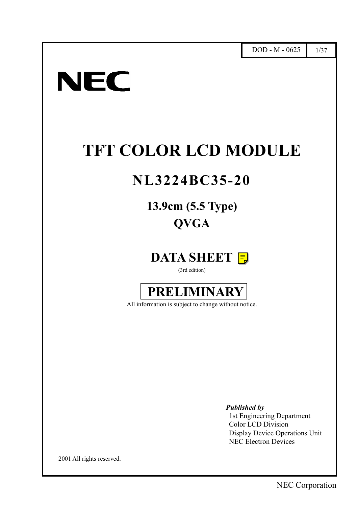# **NEC**

I

# **TFT COLOR LCD MODULE**

# **NL3224BC35-20**

## **13.9cm (5.5 Type) QVGA**

### **DATA SHEET**

(3rd edition)



All information is subject to change without notice.

*Published by*

1st Engineering Department Color LCD Division Display Device Operations Unit NEC Electron Devices

2001 All rights reserved.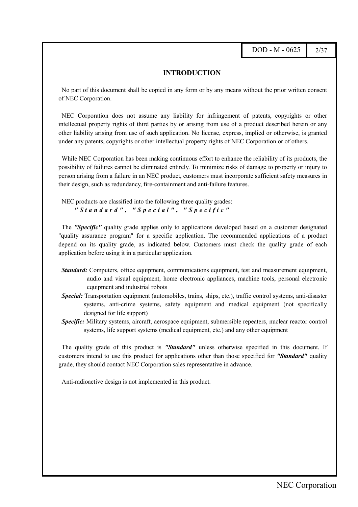DOD - M - 0625 2/37

#### **INTRODUCTION**

<span id="page-1-0"></span>No part of this document shall be copied in any form or by any means without the prior written consent of NEC Corporation.

NEC Corporation does not assume any liability for infringement of patents, copyrights or other intellectual property rights of third parties by or arising from use of a product described herein or any other liability arising from use of such application. No license, express, implied or otherwise, is granted under any patents, copyrights or other intellectual property rights of NEC Corporation or of others.

While NEC Corporation has been making continuous effort to enhance the reliability of its products, the possibility of failures cannot be eliminated entirely. To minimize risks of damage to property or injury to person arising from a failure in an NEC product, customers must incorporate sufficient safety measures in their design, such as redundancy, fire-containment and anti-failure features.

NEC products are classified into the following three quality grades: *"Standard"* **,** *"Special"* **,** *"Specific"*

The *"Specific"* quality grade applies only to applications developed based on a customer designated "quality assurance program" for a specific application. The recommended applications of a product depend on its quality grade, as indicated below. Customers must check the quality grade of each application before using it in a particular application.

- *Standard:* Computers, office equipment, communications equipment, test and measurement equipment, audio and visual equipment, home electronic appliances, machine tools, personal electronic equipment and industrial robots
- *Special:* Transportation equipment (automobiles, trains, ships, etc.), traffic control systems, anti-disaster systems, anti-crime systems, safety equipment and medical equipment (not specifically designed for life support)
- *Specific:* Military systems, aircraft, aerospace equipment, submersible repeaters, nuclear reactor control systems, life support systems (medical equipment, etc.) and any other equipment

The quality grade of this product is *"Standard"* unless otherwise specified in this document. If customers intend to use this product for applications other than those specified for *"Standard"* quality grade, they should contact NEC Corporation sales representative in advance.

Anti-radioactive design is not implemented in this product.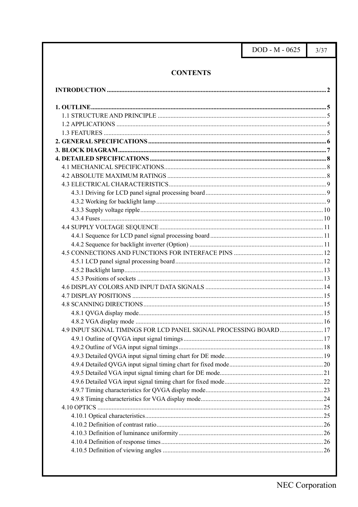DOD - M - 0625

 $3/37$ 

#### **CONTENTS**

<span id="page-2-0"></span>

| 4.9 INPUT SIGNAL TIMINGS FOR LCD PANEL SIGNAL PROCESSING BOARD 17 |  |
|-------------------------------------------------------------------|--|
|                                                                   |  |
|                                                                   |  |
|                                                                   |  |
|                                                                   |  |
|                                                                   |  |
|                                                                   |  |
|                                                                   |  |
|                                                                   |  |
|                                                                   |  |
|                                                                   |  |
|                                                                   |  |
|                                                                   |  |
|                                                                   |  |
|                                                                   |  |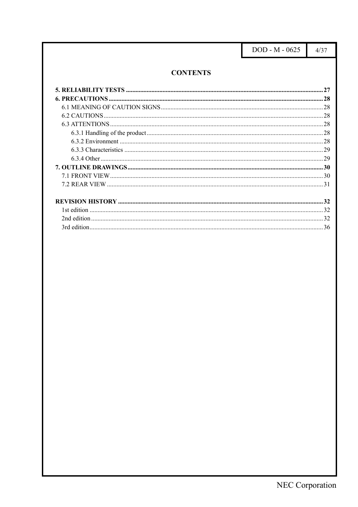DOD - M - 0625

 $4/37$ 

#### **CONTENTS**

<span id="page-3-0"></span>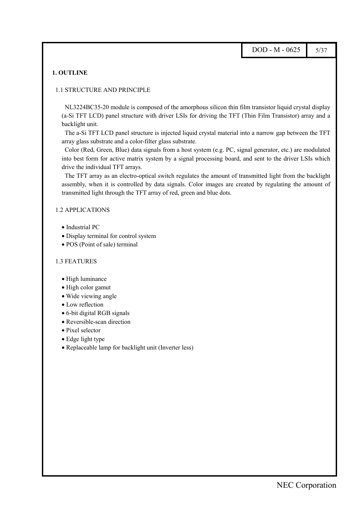#### <span id="page-4-0"></span>**1. OUTLINE**

#### 1.1 STRUCTURE AND PRINCIPLE

NL3224BC35-20 module is composed of the amorphous silicon thin film transistor liquid crystal display (a-Si TFT LCD) panel structure with driver LSIs for driving the TFT (Thin Film Transistor) array and a backlight unit.

The a-Si TFT LCD panel structure is injected liquid crystal material into a narrow gap between the TFT array glass substrate and a color-filter glass substrate.

Color (Red, Green, Blue) data signals from a host system (e.g. PC, signal generator, etc.) are modulated into best form for active matrix system by a signal processing board, and sent to the driver LSIs which drive the individual TFT arrays.

The TFT array as an electro-optical switch regulates the amount of transmitted light from the backlight assembly, when it is controlled by data signals. Color images are created by regulating the amount of transmitted light through the TFT array of red, green and blue dots.

#### 1.2 APPLICATIONS

- Industrial PC
- Display terminal for control system
- POS (Point of sale) terminal

#### 1.3 FEATURES

- High luminance
- High color gamut
- Wide viewing angle
- Low reflection
- 6-bit digital RGB signals
- Reversible-scan direction
- Pixel selector
- Edge light type
- Replaceable lamp for backlight unit (Inverter less)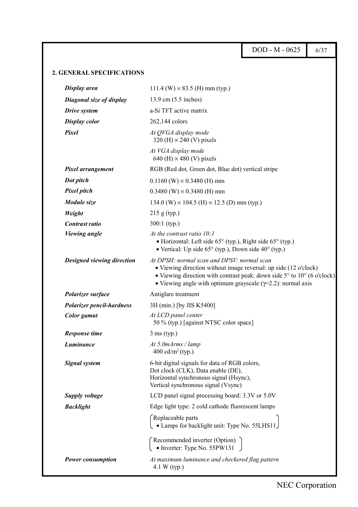<span id="page-5-0"></span>DOD - M - 0625 6/37 **2. GENERAL SPECIFICATIONS Display area** 111.4 (W)  $\times$  83.5 (H) mm (typ.) *Diagonal size of display* 13.9 cm (5.5 inches) *Drive system* a-Si TFT active matrix **Display color** 262,144 colors *At QVGA display mode*  $320$  (H)  $\times$  240 (V) pixels *Pixel At VGA display mode* 640 (H)  $\times$  480 (V) pixels *Pixel arrangement* RGB (Red dot, Green dot, Blue dot) vertical stripe *Dot pitch* 0.1160 (W)  $\times$  0.3480 (H) mm *Pixel pitch* 0.3480 (W)  $\times$  0.3480 (H) mm *Module size* 134.0 (W) × 104.5 (H) × 12.5 (D) mm (typ.) *Weight* 215 g (typ.) *Contrast ratio* 300:1 (typ.) *Viewing angle At the contrast ratio 10:1* • Horizontal: Left side 65° (typ.), Right side 65° (typ.) • Vertical: Up side 65° (typ.), Down side 40° (typ.) *Designed viewing direction At DPSH: normal scan and DPSV: normal scan* • Viewing direction without image reversal: up side (12 o'clock) • Viewing direction with contrast peak: down side  $5^{\circ}$  to  $10^{\circ}$  (6 o'clock) • Viewing angle with optimum grayscale  $(\gamma=2.2)$ : normal axis *Polarizer surface* Antiglare treatment *Polarizer pencil-hardness* 3H (min.) [by JIS K5400] *Color gamut At LCD panel center* 50 % (typ.) [against NTSC color space] *Response time* 3 ms (typ.) *Luminance At 5.0mArms / lamp*  $400 \text{ cd/m}^2$  (typ.) **Signal system** 6-bit digital signals for data of RGB colors, Dot clock (CLK), Data enable (DE), Horizontal synchronous signal (Hsync), Vertical synchronous signal (Vsync) **Supply voltage** LCD panel signal processing board: 3.3V or 5.0V *Backlight* Edge light type: 2 cold cathode fluorescent lamps Replaceable parts • Lamps for backlight unit: Type No. 55LHS11 Recommended inverter (Option) • Inverter: Type No. 55PW131 *Power consumption At maximum luminance and checkered flag pattern* 4.1 W (typ.)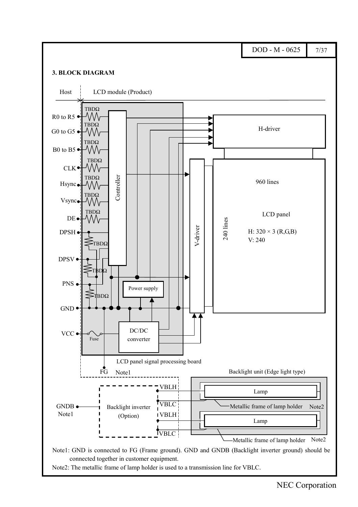<span id="page-6-0"></span>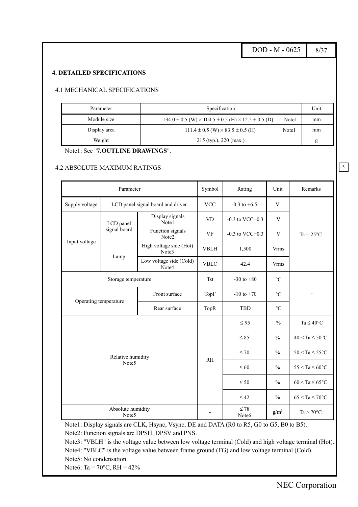DOD - M - 0625  $8/37$ 

3

#### <span id="page-7-0"></span>**4. DETAILED SPECIFICATIONS**

#### 4.1 MECHANICAL SPECIFICATIONS

| Parameter    | Specification                                                            |       | Unit |
|--------------|--------------------------------------------------------------------------|-------|------|
| Module size  | $134.0 \pm 0.5$ (W) $\times 104.5 \pm 0.5$ (H) $\times 12.5 \pm 0.5$ (D) | Note1 | mm   |
| Display area | $111.4 \pm 0.5$ (W) $\times$ 83.5 $\pm$ 0.5 (H)                          | Note1 | mm   |
| Weight       | $215$ (typ.), 220 (max.)                                                 |       | g    |

#### Note1: See "**7.OUTLINE DRAWINGS**".

#### 4.2 ABSOLUTE MAXIMUM RATINGS

|                       | Parameter                  |                                   | Symbol         | Rating               | Unit                       | Remarks                    |
|-----------------------|----------------------------|-----------------------------------|----------------|----------------------|----------------------------|----------------------------|
| Supply voltage        |                            | LCD panel signal board and driver | <b>VCC</b>     | $-0.3$ to $+6.5$     | V                          |                            |
|                       | LCD panel                  | Display signals<br>Note1          | <b>VD</b>      | $-0.3$ to VCC $+0.3$ | V                          |                            |
|                       | signal board               | Function signals<br>Note2         | <b>VF</b>      | $-0.3$ to VCC $+0.3$ | V                          | $Ta = 25^{\circ}C$         |
| Input voltage         |                            | High voltage side (Hot)<br>Note3  | <b>VBLH</b>    | 1,500                | <b>Vrms</b>                |                            |
|                       | Lamp                       | Low voltage side (Cold)<br>Note4  | <b>VBLC</b>    | 42.4                 | <b>Vrms</b>                |                            |
|                       | Storage temperature        |                                   | <b>Tst</b>     | $-30$ to $+80$       | $\rm ^{\circ}C$            |                            |
| Operating temperature |                            | TopF                              | $-10$ to $+70$ | $\rm ^{\circ}C$      |                            |                            |
|                       |                            | Rear surface                      | TopR           | <b>TBD</b>           | $\rm ^{\circ}C$            |                            |
|                       |                            |                                   |                | $\leq$ 95            | $\frac{0}{0}$              | Ta $\leq 40^{\circ}$ C     |
|                       |                            |                                   |                | $\leq 85$            | $\frac{0}{0}$              | $40 < Ta \leq 50^{\circ}C$ |
|                       | Relative humidity          |                                   | <b>RH</b>      | $\leq 70$            | $\frac{0}{0}$              | $50 < Ta \leq 55^{\circ}C$ |
|                       | Note <sub>5</sub>          |                                   |                | $\leq 60$            | $\frac{0}{0}$              | $55 < Ta \leq 60^{\circ}C$ |
|                       |                            |                                   | $\leq 50$      | $\frac{0}{0}$        | $60 < Ta \leq 65^{\circ}C$ |                            |
|                       |                            |                                   |                | $\leq 42$            | $\frac{0}{0}$              | $65 < Ta \leq 70^{\circ}C$ |
|                       | Absolute humidity<br>Note5 |                                   | $\blacksquare$ | $\leq 78$<br>Note6   | $g/m^3$                    | $Ta > 70^{\circ}C$         |

Note1: Display signals are CLK, Hsync, Vsync, DE and DATA (R0 to R5, G0 to G5, B0 to B5). Note2: Function signals are DPSH, DPSV and PNS.

Note3: "VBLH" is the voltage value between low voltage terminal (Cold) and high voltage terminal (Hot). Note4: "VBLC" is the voltage value between frame ground (FG) and low voltage terminal (Cold). Note5: No condensation

Note6: Ta =  $70^{\circ}$ C, RH =  $42\%$ 

NEC Corporation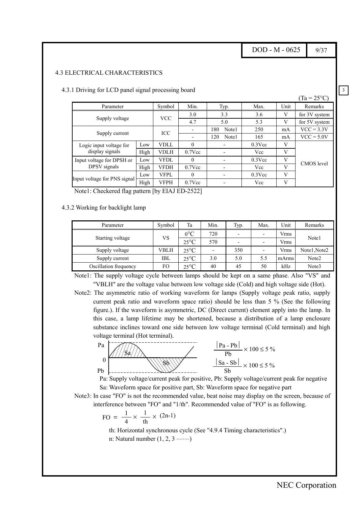DOD - M - 0625  $9/37$ 

3

#### <span id="page-8-0"></span>4.3 ELECTRICAL CHARACTERISTICS

|                              |      |             |           |              |           |      | $(Ta = 25^{\circ}C)$ |
|------------------------------|------|-------------|-----------|--------------|-----------|------|----------------------|
| Parameter                    |      | Symbol      | Min.      | Typ.         | Max.      | Unit | Remarks              |
| Supply voltage               |      | <b>VCC</b>  | 3.0       | 3.3          | 3.6       | V    | for 3V system        |
|                              |      |             | 4.7       | 5.0          | 5.3       | V    | for 5V system        |
|                              |      | ICC         |           | 180<br>Note1 | 250       | mA   | $VCC = 3.3V$         |
| Supply current               |      |             |           | Note1<br>120 | 165       | mA   | $VCC = 5.0V$         |
| Logic input voltage for      | Low  | <b>VDLL</b> | $\Omega$  |              | $0.3$ Vcc | V    |                      |
| display signals              | High | <b>VDLH</b> | $0.7$ Vcc |              | Vcc       | V    |                      |
| Input voltage for DPSH or    | Low  | <b>VFDL</b> | $\Omega$  |              | $0.3$ Vcc | V    | <b>CMOS</b> level    |
| DPSV signals                 | High | VFDH        | $0.7$ Vcc |              | Vcc       | V    |                      |
|                              | Low  | <b>VFPL</b> | $\theta$  |              | $0.3$ Vcc | V    |                      |
| Input voltage for PNS signal | High | <b>VFPH</b> | $0.7$ Vcc |              | Vcc       | V    |                      |

4.3.1 Driving for LCD panel signal processing board

Note1: Checkered flag pattern [by EIAJ ED-2522]

#### 4.3.2 Working for backlight lamp

| Parameter             | Symbol | Ta             | Min.                     | Typ.                     | Max.                     | Unit  | Remarks      |
|-----------------------|--------|----------------|--------------------------|--------------------------|--------------------------|-------|--------------|
| Starting voltage      | VS     | $0^{\circ}C$   | 720                      | ۰                        |                          | Vrms  | Note1        |
|                       |        | $25^{\circ}$ C | 570                      | $\overline{\phantom{0}}$ | $\overline{\phantom{0}}$ | Vrms  |              |
| Supply voltage        | VBLH   | $25^{\circ}$ C | $\overline{\phantom{a}}$ | 350                      |                          | Vrms  | Note1, Note2 |
| Supply current        | IBL    | $25^{\circ}$ C | 3.0                      | 5.0                      | 5.5                      | mArms | Note2        |
| Oscillation frequency | FO     | $25^{\circ}$ C | 40                       | 45                       | 50                       | kHz   | Note3        |

Note1: The supply voltage cycle between lamps should be kept on a same phase. Also "VS" and "VBLH" are the voltage value between low voltage side (Cold) and high voltage side (Hot).

Note2: The asymmetric ratio of working waveform for lamps (Supply voltage peak ratio, supply current peak ratio and waveform space ratio) should be less than 5 % (See the following figure.). If the waveform is asymmetric, DC (Direct current) element apply into the lamp. In this case, a lamp lifetime may be shortened, because a distribution of a lamp enclosure substance inclines toward one side between low voltage terminal (Cold terminal) and high voltage terminal (Hot terminal).



Pa: Supply voltage/current peak for positive, Pb: Supply voltage/current peak for negative Sa: Waveform space for positive part, Sb: Waveform space for negative part

Note3: In case "FO" is not the recommended value, beat noise may display on the screen, because of interference between "FO" and "1/th". Recommended value of "FO" is as following.

$$
FO = \frac{1}{4} \times \frac{1}{th} \times (2n-1)
$$

th: Horizontal synchronous cycle (See "4.9.4 Timing characteristics".) n: Natural number  $(1, 2, 3 \dots \dots)$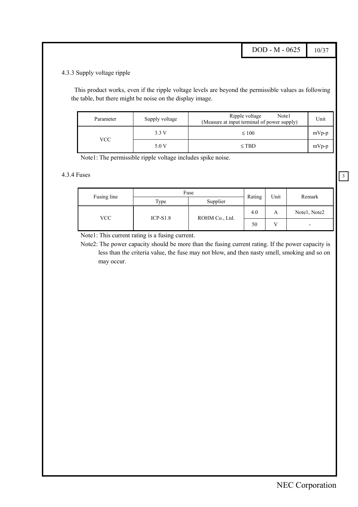DOD - M - 0625 10/37

3

#### <span id="page-9-0"></span>4.3.3 Supply voltage ripple

This product works, even if the ripple voltage levels are beyond the permissible values as following the table, but there might be noise on the display image.

| Parameter | Supply voltage | Ripple voltage<br>Note1<br>(Measure at input terminal of power supply) | Unit    |
|-----------|----------------|------------------------------------------------------------------------|---------|
|           | 3.3V           | $\leq 100$                                                             | $mVp-p$ |
| VCC       | 5.0 V          | $\leq$ TBD                                                             | $mVp-p$ |

Note1: The permissible ripple voltage includes spike noise.

#### 4.3.4 Fuses

|             |            | Fuse           |        | Unit |                          |  |
|-------------|------------|----------------|--------|------|--------------------------|--|
| Fusing line | Type       | Supplier       | Rating |      | Remark                   |  |
| VCC         | $ICP-S1.8$ | ROHM Co., Ltd. | 4.0    | A    | Notel, Note2             |  |
|             |            |                | 50     | V    | $\overline{\phantom{0}}$ |  |

Note1: This current rating is a fusing current.

Note2: The power capacity should be more than the fusing current rating. If the power capacity is less than the criteria value, the fuse may not blow, and then nasty smell, smoking and so on may occur.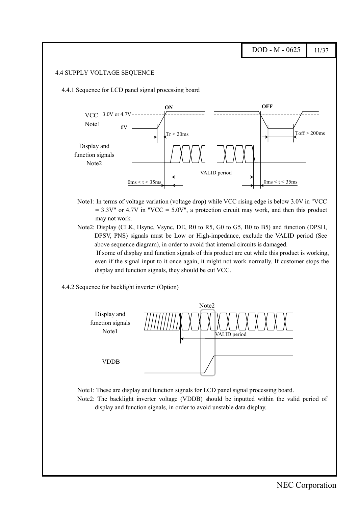#### <span id="page-10-0"></span>4.4 SUPPLY VOLTAGE SEQUENCE

4.4.1 Sequence for LCD panel signal processing board



- Note1: In terms of voltage variation (voltage drop) while VCC rising edge is below 3.0V in "VCC  $= 3.3V''$  or 4.7V in "VCC = 5.0V", a protection circuit may work, and then this product may not work.
- Note2: Display (CLK, Hsync, Vsync, DE, R0 to R5, G0 to G5, B0 to B5) and function (DPSH, DPSV, PNS) signals must be Low or High-impedance, exclude the VALID period (See above sequence diagram), in order to avoid that internal circuits is damaged.

If some of display and function signals of this product are cut while this product is working, even if the signal input to it once again, it might not work normally. If customer stops the display and function signals, they should be cut VCC.

4.4.2 Sequence for backlight inverter (Option)





Note2: The backlight inverter voltage (VDDB) should be inputted within the valid period of display and function signals, in order to avoid unstable data display.

 $DOD - M - 0625$  11/37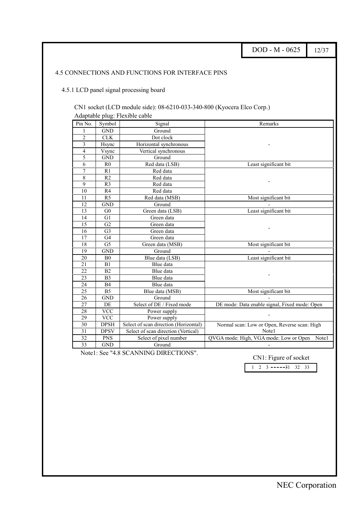<span id="page-11-0"></span>

|                 |                      |                                                                        | DOD - M - 0625                                | 12/37 |
|-----------------|----------------------|------------------------------------------------------------------------|-----------------------------------------------|-------|
|                 |                      | 4.5 CONNECTIONS AND FUNCTIONS FOR INTERFACE PINS                       |                                               |       |
|                 |                      |                                                                        |                                               |       |
|                 |                      | 4.5.1 LCD panel signal processing board                                |                                               |       |
|                 |                      |                                                                        |                                               |       |
|                 |                      |                                                                        |                                               |       |
|                 |                      | CN1 socket (LCD module side): 08-6210-033-340-800 (Kyocera Elco Corp.) |                                               |       |
|                 |                      | Adaptable plug: Flexible cable                                         |                                               |       |
| Pin No.         | Symbol               | Signal                                                                 | Remarks                                       |       |
| $\mathbf{1}$    | <b>GND</b>           | Ground                                                                 |                                               |       |
| $\overline{c}$  | CLK                  | Dot clock                                                              |                                               |       |
| 3               | Hsync                | Horizontal synchronous                                                 |                                               |       |
| $\overline{4}$  | Vsync                | Vertical synchronous                                                   |                                               |       |
| 5               | <b>GND</b>           | Ground                                                                 |                                               |       |
| 6               | R <sub>0</sub>       | Red data (LSB)                                                         | Least significant bit                         |       |
| $\overline{7}$  | R1                   | Red data                                                               |                                               |       |
| 8               | R <sub>2</sub>       | Red data                                                               |                                               |       |
| 9               | R <sub>3</sub>       | Red data                                                               |                                               |       |
| 10              | R <sub>4</sub>       | Red data                                                               |                                               |       |
| 11              | R <sub>5</sub>       | Red data (MSB)                                                         | Most significant bit                          |       |
| $\overline{12}$ | GND                  | Ground                                                                 |                                               |       |
| 13              | G <sub>0</sub>       | Green data (LSB)                                                       | Least significant bit                         |       |
| 14              | G1                   | Green data                                                             |                                               |       |
| 15              | G2                   | Green data                                                             |                                               |       |
| 16              | G <sub>3</sub>       | Green data                                                             |                                               |       |
| 17              | G <sub>4</sub>       | Green data                                                             |                                               |       |
| 18              | G <sub>5</sub>       | Green data (MSB)                                                       | Most significant bit                          |       |
| $\overline{19}$ | <b>GND</b>           | Ground                                                                 | Least significant bit                         |       |
| 20<br>21        | B <sub>0</sub><br>B1 | Blue data (LSB)<br>Blue data                                           |                                               |       |
| $\overline{22}$ | B2                   | Blue data                                                              |                                               |       |
| 23              | B <sub>3</sub>       | Blue data                                                              |                                               |       |
| 24              | <b>B4</b>            | Blue data                                                              |                                               |       |
| $\overline{25}$ | B <sub>5</sub>       | Blue data (MSB)                                                        | Most significant bit                          |       |
| $\overline{26}$ | <b>GND</b>           | Ground                                                                 |                                               |       |
| $\overline{27}$ | DE                   | Select of DE / Fixed mode                                              | DE mode: Data enable signal, Fixed mode: Open |       |
| 28              | <b>VCC</b>           | Power supply                                                           |                                               |       |
| 29              | <b>VCC</b>           | Power supply                                                           |                                               |       |
| 30              | <b>DPSH</b>          | Select of scan direction (Horizontal)                                  | Normal scan: Low or Open, Reverse scan: High  |       |
| $\overline{31}$ | <b>DPSV</b>          | Select of scan direction (Vertical)                                    | Note1                                         |       |
|                 |                      |                                                                        |                                               |       |
| $\overline{32}$ | <b>PNS</b>           | Select of pixel number                                                 | QVGA mode: High, VGA mode: Low or Open        | Note1 |

Note1: See "4.8 SCANNING DIRECTIONS".

CN1: Figure of socket

 $1 \quad 2 \quad 3 \quad -- -- -31 \quad 32 \quad 33$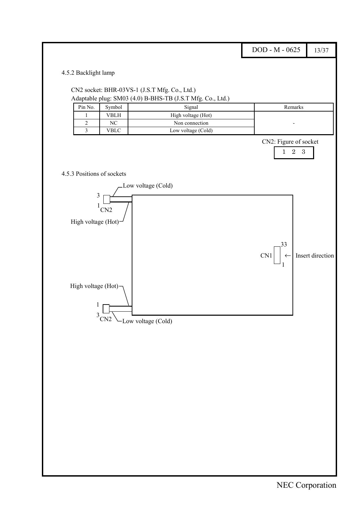<span id="page-12-0"></span>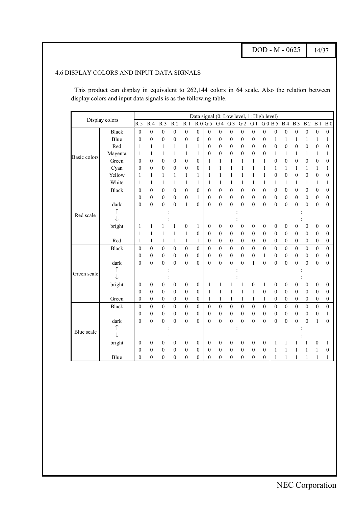DOD - M - 0625 14/37

#### <span id="page-13-0"></span>4.6 DISPLAY COLORS AND INPUT DATA SIGNALS

This product can display in equivalent to 262,144 colors in 64 scale. Also the relation between display colors and input data signals is as the following table.

| Data signal (0: Low level, 1: High level)<br>Display colors<br>G <sub>5</sub><br>R <sub>5</sub><br>R <sub>2</sub><br>G <sub>2</sub><br>R <sub>3</sub><br>R <sub>1</sub><br>R <sub>0</sub><br>G <sub>3</sub><br>G <sub>1</sub><br>$G0$ B 5 B 4<br><b>B3</b><br>B <sub>2</sub><br>R <sub>4</sub><br>G <sub>4</sub><br>B <sub>1</sub><br>B <sub>0</sub><br><b>Black</b><br>$\boldsymbol{0}$<br>$\mathbf{0}$<br>$\mathbf{0}$<br>$\boldsymbol{0}$<br>$\boldsymbol{0}$<br>$\boldsymbol{0}$<br>$\mathbf{0}$<br>$\boldsymbol{0}$<br>$\boldsymbol{0}$<br>$\mathbf{0}$<br>$\mathbf{0}$<br>$\boldsymbol{0}$<br>$\boldsymbol{0}$<br>$\boldsymbol{0}$<br>$\boldsymbol{0}$<br>$\boldsymbol{0}$<br>$\boldsymbol{0}$<br>$\boldsymbol{0}$<br>$\boldsymbol{0}$<br>$\mathbf{0}$<br>$\mathbf{0}$<br>Blue<br>$\mathbf{0}$<br>$\boldsymbol{0}$<br>$\theta$<br>$\boldsymbol{0}$<br>$\boldsymbol{0}$<br>0<br>$\boldsymbol{0}$<br>$\boldsymbol{0}$<br>1<br>1<br>0<br>1<br>1<br>1<br>1<br>$\overline{0}$<br>Red<br>$\mathbf{0}$<br>$\boldsymbol{0}$<br>$\mathbf{0}$<br>$\boldsymbol{0}$<br>$\mathbf{0}$<br>$\boldsymbol{0}$<br>$\boldsymbol{0}$<br>1<br>1<br>1<br>1<br>1<br>1<br>$\theta$<br>$\boldsymbol{0}$<br>$\boldsymbol{0}$<br>$\theta$<br>$\boldsymbol{0}$<br>Magenta<br>$\mathbf{1}$<br>$\mathbf{1}$<br>$\mathbf{1}$<br>$\mathbf{1}$<br>$\mathbf{1}$<br>$\boldsymbol{0}$<br>$\overline{0}$<br>$\boldsymbol{0}$<br>$\boldsymbol{0}$<br>$\mathbf{1}$<br>1<br>$\theta$<br>1<br>1<br>1<br>1<br>1<br>Basic colors<br>$\boldsymbol{0}$<br>Green<br>$\overline{0}$<br>$\boldsymbol{0}$<br>$\boldsymbol{0}$<br>$\mathbf{0}$<br>$\mathbf{0}$<br>$\mathbf{0}$<br>$\boldsymbol{0}$<br>$\mathbf{0}$<br>$\mathbf{0}$<br>$\boldsymbol{0}$<br>1<br>1<br>1<br>$\mathbf{1}$<br>1<br>1<br>$\theta$<br>$\mathbf{0}$<br>$\theta$<br>$\theta$<br>$\mathbf{0}$<br>$\theta$<br>$\mathbf{0}$<br>$\mathbf{1}$<br>$\mathbf{1}$<br>Cyan<br>1<br>1<br>1<br>1<br>$\mathbf{1}$<br>1<br>1<br>1<br>1<br>1<br>$\boldsymbol{0}$<br>Yellow<br>$\overline{0}$<br>$\boldsymbol{0}$<br>$\mathbf{1}$<br>$\mathbf{1}$<br>$\mathbf{1}$<br>$\mathbf{1}$<br>$\mathbf{1}$<br>1<br>$\mathbf{1}$<br>$\mathbf{1}$<br>$\mathbf{1}$<br>$\boldsymbol{0}$<br>$\mathbf{0}$<br>1<br>1<br>1<br>$\theta$<br>White<br>$\mathbf{1}$<br>$\mathbf{1}$<br>$\mathbf{1}$<br>1<br>1<br>$\mathbf{1}$<br>1<br>1<br>1<br>1<br>1<br>$\mathbf{1}$<br>$\mathbf{1}$<br>$\mathbf{1}$<br>1<br>1<br>1<br>1<br>$\mathbf{0}$<br>$\overline{0}$<br>$\mathbf{0}$<br>$\theta$<br>$\theta$<br>$\theta$<br>$\theta$<br>$\mathbf{0}$<br>$\theta$<br>$\theta$<br>$\theta$<br>$\theta$<br>$\theta$<br>$\boldsymbol{0}$<br><b>Black</b><br>$\theta$<br>$\theta$<br>$\theta$<br>$\theta$<br>$\boldsymbol{0}$<br>$\mathbf{0}$<br>$\mathbf{0}$<br>$\boldsymbol{0}$<br>$\mathbf{0}$<br>$\mathbf{0}$<br>$\mathbf{1}$<br>$\mathbf{0}$<br>$\mathbf{0}$<br>$\boldsymbol{0}$<br>$\overline{0}$<br>$\mathbf{0}$<br>$\mathbf{0}$<br>$\mathbf{0}$<br>$\mathbf{0}$<br>$\mathbf{0}$<br>$\boldsymbol{0}$<br>$\boldsymbol{0}$<br>$\boldsymbol{0}$<br>$\overline{0}$<br>$\overline{0}$<br>$\boldsymbol{0}$<br>$\mathbf{0}$<br>$\boldsymbol{0}$<br>$\boldsymbol{0}$<br>$\overline{0}$<br>$\mathbf{0}$<br>$\boldsymbol{0}$<br>$\overline{0}$<br>$\boldsymbol{0}$<br>$\mathbf{0}$<br>dark<br>$\mathbf{0}$<br>$\mathbf{0}$<br>$\mathbf{1}$<br>$\mathbf{0}$<br>$\mathbf{0}$<br>↑<br>Red scale<br>J<br>bright<br>$\boldsymbol{0}$<br>$\mathbf{1}$<br>$\boldsymbol{0}$<br>$\boldsymbol{0}$<br>$\boldsymbol{0}$<br>$\boldsymbol{0}$<br>$\boldsymbol{0}$<br>$\boldsymbol{0}$<br>1<br>$\boldsymbol{0}$<br>0<br>$\boldsymbol{0}$<br>$\boldsymbol{0}$<br>$\boldsymbol{0}$<br>$\boldsymbol{0}$<br>1<br>1<br>1<br>$\mathbf{1}$<br>$\mathbf{0}$<br>$\mathbf{0}$<br>$\mathbf{0}$<br>$\mathbf{0}$<br>$\mathbf{1}$<br>$\mathbf{1}$<br>$\theta$<br>$\mathbf{0}$<br>$\boldsymbol{0}$<br>$\mathbf{0}$<br>$\mathbf{0}$<br>$\mathbf{0}$<br>$\theta$<br>1<br>1<br>$\boldsymbol{0}$<br>$\theta$<br>Red<br>$\mathbf{1}$<br>$\mathbf{1}$<br>$\boldsymbol{0}$<br>$\boldsymbol{0}$<br>$\boldsymbol{0}$<br>1<br>1<br>$\mathbf{1}$<br>$\boldsymbol{0}$<br>0<br>0<br>0<br>$\boldsymbol{0}$<br>$\theta$<br>$\boldsymbol{0}$<br>$\boldsymbol{0}$<br>$\boldsymbol{0}$<br>1<br>$\overline{0}$<br>$\mathbf{0}$<br>$\mathbf{0}$<br>$\mathbf{0}$<br>$\mathbf{0}$<br>$\mathbf{0}$<br>$\boldsymbol{0}$<br>$\overline{0}$<br>$\boldsymbol{0}$<br>$\boldsymbol{0}$<br>$\boldsymbol{0}$<br>$\mathbf{0}$<br>$\boldsymbol{0}$<br>$\overline{0}$<br>$\mathbf{0}$<br>$\boldsymbol{0}$<br>$\boldsymbol{0}$<br>$\boldsymbol{0}$<br><b>Black</b><br>$\mathbf{0}$<br>$\boldsymbol{0}$<br>$\mathbf{0}$<br>$\mathbf{0}$<br>$\boldsymbol{0}$<br>$\boldsymbol{0}$<br>$\mathbf{0}$<br>$\mathbf{0}$<br>$\mathbf{0}$<br>$\boldsymbol{0}$<br>$\overline{0}$<br>$\boldsymbol{0}$<br>$\mathbf{0}$<br>$\boldsymbol{0}$<br>$\mathbf{0}$<br>$\mathbf{0}$<br>1<br>$\boldsymbol{0}$<br>$\overline{0}$<br>$\overline{0}$<br>$\mathbf{0}$<br>$\mathbf{0}$<br>$\mathbf{0}$<br>$\mathbf{0}$<br>$\overline{0}$<br>$\mathbf{0}$<br>$\mathbf{0}$<br>$\mathbf{0}$<br>$\mathbf{0}$<br>$\overline{0}$<br>$\boldsymbol{0}$<br>$\overline{0}$<br>$\mathbf{1}$<br>$\Omega$<br>dark<br>$\theta$<br>$\theta$<br>↑<br>Green scale<br>↓<br>bright<br>$\boldsymbol{0}$<br>$\boldsymbol{0}$<br>$\boldsymbol{0}$<br>$\boldsymbol{0}$<br>$\boldsymbol{0}$<br>$\theta$<br>$\boldsymbol{0}$<br>$\boldsymbol{0}$<br>0<br>$\boldsymbol{0}$<br>1<br>1<br>$\boldsymbol{0}$<br>$\boldsymbol{0}$<br>$\boldsymbol{0}$<br>1<br>1<br>$\boldsymbol{0}$<br>$\mathbf{0}$<br>$\theta$<br>$\theta$<br>$\mathbf{1}$<br>$\theta$<br>$\theta$<br>$\theta$<br>$\theta$<br>$\theta$<br>$\theta$<br>1<br>1<br>1<br>$\theta$<br>$\theta$<br>$\theta$<br>1<br>Green<br>$\boldsymbol{0}$<br>$\boldsymbol{0}$<br>$\boldsymbol{0}$<br>$\boldsymbol{0}$<br>$\boldsymbol{0}$<br>$\boldsymbol{0}$<br>$\boldsymbol{0}$<br>$\boldsymbol{0}$<br>1<br>1<br>1<br>1<br>$\mathbf{1}$<br>$\boldsymbol{0}$<br>$\boldsymbol{0}$<br>$\boldsymbol{0}$<br>$\boldsymbol{0}$<br>1<br>$\overline{0}$<br>$\mathbf{0}$<br>$\overline{0}$<br>$\overline{0}$<br>$\mathbf{0}$<br>$\mathbf{0}$<br>$\overline{0}$<br>$\mathbf{0}$<br>$\theta$<br>$\boldsymbol{0}$<br>$\mathbf{0}$<br>$\mathbf{0}$<br>$\mathbf{0}$<br>$\theta$<br>$\boldsymbol{0}$<br>$\boldsymbol{0}$<br>$\theta$<br>$\mathbf{0}$<br><b>Black</b><br>$\boldsymbol{0}$<br>$\mathbf{0}$<br>$\mathbf{0}$<br>$\mathbf{0}$<br>$\boldsymbol{0}$<br>$\boldsymbol{0}$<br>$\boldsymbol{0}$<br>$\mathbf{0}$<br>$\boldsymbol{0}$<br>$\boldsymbol{0}$<br>$\boldsymbol{0}$<br>$\boldsymbol{0}$<br>$\theta$<br>$\boldsymbol{0}$<br>$\theta$<br>$\boldsymbol{0}$<br>$\boldsymbol{0}$<br>1<br>$\overline{0}$<br>$\mathbf{0}$<br>$\mathbf{0}$<br>$\boldsymbol{0}$<br>$\overline{0}$<br>$\overline{0}$<br>$\overline{0}$<br>$\mathbf{0}$<br>$\theta$<br>$\theta$<br>$\theta$<br>dark<br>$\theta$<br>$\mathbf{0}$<br>$\mathbf{0}$<br>$\theta$<br>$\theta$<br>1<br>$\theta$<br>↑<br>Blue scale<br>J<br>bright<br>$\boldsymbol{0}$<br>$\boldsymbol{0}$<br>$\boldsymbol{0}$<br>0<br>0<br>0<br>$\mathbf{0}$<br>$\mathbf{0}$<br>0<br>0<br>0<br>$\overline{0}$<br>1<br>1<br>1<br>$\boldsymbol{0}$<br>1<br>$\overline{0}$<br>$\boldsymbol{0}$<br>$\boldsymbol{0}$<br>$\mathbf{0}$<br>$\mathbf{0}$<br>$\boldsymbol{0}$<br>$\boldsymbol{0}$<br>$\boldsymbol{0}$<br>$\mathbf{0}$<br>$\boldsymbol{0}$<br>$\mathbf{0}$<br>$\boldsymbol{0}$<br>1<br>1<br>1<br>1<br>0<br>$\overline{0}$<br>Blue<br>$\theta$<br>$\theta$<br>$\mathbf{0}$<br>$\overline{0}$<br>$\theta$<br>$\overline{0}$<br>$\overline{0}$<br>$\overline{0}$<br>$\mathbf{0}$<br>$\mathbf{0}$<br>$\theta$<br>1<br>1<br>1<br>1<br>1<br>1 |  |  |  |  |  |  |  |  |  |  |
|------------------------------------------------------------------------------------------------------------------------------------------------------------------------------------------------------------------------------------------------------------------------------------------------------------------------------------------------------------------------------------------------------------------------------------------------------------------------------------------------------------------------------------------------------------------------------------------------------------------------------------------------------------------------------------------------------------------------------------------------------------------------------------------------------------------------------------------------------------------------------------------------------------------------------------------------------------------------------------------------------------------------------------------------------------------------------------------------------------------------------------------------------------------------------------------------------------------------------------------------------------------------------------------------------------------------------------------------------------------------------------------------------------------------------------------------------------------------------------------------------------------------------------------------------------------------------------------------------------------------------------------------------------------------------------------------------------------------------------------------------------------------------------------------------------------------------------------------------------------------------------------------------------------------------------------------------------------------------------------------------------------------------------------------------------------------------------------------------------------------------------------------------------------------------------------------------------------------------------------------------------------------------------------------------------------------------------------------------------------------------------------------------------------------------------------------------------------------------------------------------------------------------------------------------------------------------------------------------------------------------------------------------------------------------------------------------------------------------------------------------------------------------------------------------------------------------------------------------------------------------------------------------------------------------------------------------------------------------------------------------------------------------------------------------------------------------------------------------------------------------------------------------------------------------------------------------------------------------------------------------------------------------------------------------------------------------------------------------------------------------------------------------------------------------------------------------------------------------------------------------------------------------------------------------------------------------------------------------------------------------------------------------------------------------------------------------------------------------------------------------------------------------------------------------------------------------------------------------------------------------------------------------------------------------------------------------------------------------------------------------------------------------------------------------------------------------------------------------------------------------------------------------------------------------------------------------------------------------------------------------------------------------------------------------------------------------------------------------------------------------------------------------------------------------------------------------------------------------------------------------------------------------------------------------------------------------------------------------------------------------------------------------------------------------------------------------------------------------------------------------------------------------------------------------------------------------------------------------------------------------------------------------------------------------------------------------------------------------------------------------------------------------------------------------------------------------------------------------------------------------------------------------------------------------------------------------------------------------------------------------------------------------------------------------------------------------------------------------------------------------------------------------------------------------------------------------------------------------------------------------------------------------------------------------------------------------------------------------------------------------------------------------------------------------------------------------------------------------------------------------------------------------------------------------------------------------------------------------------------------------------------------------------------------------------------------------------------------------------------------------------------------------------------------------------------------------------------------------------------------------------------------------------------------------------------------------------------------------------------------------------------------------------------------------------------------------------------------------------------------------------------------------------------------------------------------------------------------------------------------------------------------------------------------------------------------------------------------------------------------------------------------------------------------------------------------------------------------------------------------------------------------------------------------------------------------------------------------------------------------------------------------------------------------------------------------------------------------------------------------------------------------------------------------------------------------------------------------------------------------------------------------------------------------------------------------------------------------------------------------------------------------------------------------------------------------------------------------------------------------------------------------------------------------------------------------------------------------------------------------------------------------------------------------------------------------------------------------------------------------------------------------------------------|--|--|--|--|--|--|--|--|--|--|
|                                                                                                                                                                                                                                                                                                                                                                                                                                                                                                                                                                                                                                                                                                                                                                                                                                                                                                                                                                                                                                                                                                                                                                                                                                                                                                                                                                                                                                                                                                                                                                                                                                                                                                                                                                                                                                                                                                                                                                                                                                                                                                                                                                                                                                                                                                                                                                                                                                                                                                                                                                                                                                                                                                                                                                                                                                                                                                                                                                                                                                                                                                                                                                                                                                                                                                                                                                                                                                                                                                                                                                                                                                                                                                                                                                                                                                                                                                                                                                                                                                                                                                                                                                                                                                                                                                                                                                                                                                                                                                                                                                                                                                                                                                                                                                                                                                                                                                                                                                                                                                                                                                                                                                                                                                                                                                                                                                                                                                                                                                                                                                                                                                                                                                                                                                                                                                                                                                                                                                                                                                                                                                                                                                                                                                                                                                                                                                                                                                                                                                                                                                                                                                                                                                                                                                                                                                                                                                                                                                                                                                                                                                                                                                                                                                                                                                                                                                                                                                                                                                                                                                                                                                                                  |  |  |  |  |  |  |  |  |  |  |
|                                                                                                                                                                                                                                                                                                                                                                                                                                                                                                                                                                                                                                                                                                                                                                                                                                                                                                                                                                                                                                                                                                                                                                                                                                                                                                                                                                                                                                                                                                                                                                                                                                                                                                                                                                                                                                                                                                                                                                                                                                                                                                                                                                                                                                                                                                                                                                                                                                                                                                                                                                                                                                                                                                                                                                                                                                                                                                                                                                                                                                                                                                                                                                                                                                                                                                                                                                                                                                                                                                                                                                                                                                                                                                                                                                                                                                                                                                                                                                                                                                                                                                                                                                                                                                                                                                                                                                                                                                                                                                                                                                                                                                                                                                                                                                                                                                                                                                                                                                                                                                                                                                                                                                                                                                                                                                                                                                                                                                                                                                                                                                                                                                                                                                                                                                                                                                                                                                                                                                                                                                                                                                                                                                                                                                                                                                                                                                                                                                                                                                                                                                                                                                                                                                                                                                                                                                                                                                                                                                                                                                                                                                                                                                                                                                                                                                                                                                                                                                                                                                                                                                                                                                                                  |  |  |  |  |  |  |  |  |  |  |
|                                                                                                                                                                                                                                                                                                                                                                                                                                                                                                                                                                                                                                                                                                                                                                                                                                                                                                                                                                                                                                                                                                                                                                                                                                                                                                                                                                                                                                                                                                                                                                                                                                                                                                                                                                                                                                                                                                                                                                                                                                                                                                                                                                                                                                                                                                                                                                                                                                                                                                                                                                                                                                                                                                                                                                                                                                                                                                                                                                                                                                                                                                                                                                                                                                                                                                                                                                                                                                                                                                                                                                                                                                                                                                                                                                                                                                                                                                                                                                                                                                                                                                                                                                                                                                                                                                                                                                                                                                                                                                                                                                                                                                                                                                                                                                                                                                                                                                                                                                                                                                                                                                                                                                                                                                                                                                                                                                                                                                                                                                                                                                                                                                                                                                                                                                                                                                                                                                                                                                                                                                                                                                                                                                                                                                                                                                                                                                                                                                                                                                                                                                                                                                                                                                                                                                                                                                                                                                                                                                                                                                                                                                                                                                                                                                                                                                                                                                                                                                                                                                                                                                                                                                                                  |  |  |  |  |  |  |  |  |  |  |
|                                                                                                                                                                                                                                                                                                                                                                                                                                                                                                                                                                                                                                                                                                                                                                                                                                                                                                                                                                                                                                                                                                                                                                                                                                                                                                                                                                                                                                                                                                                                                                                                                                                                                                                                                                                                                                                                                                                                                                                                                                                                                                                                                                                                                                                                                                                                                                                                                                                                                                                                                                                                                                                                                                                                                                                                                                                                                                                                                                                                                                                                                                                                                                                                                                                                                                                                                                                                                                                                                                                                                                                                                                                                                                                                                                                                                                                                                                                                                                                                                                                                                                                                                                                                                                                                                                                                                                                                                                                                                                                                                                                                                                                                                                                                                                                                                                                                                                                                                                                                                                                                                                                                                                                                                                                                                                                                                                                                                                                                                                                                                                                                                                                                                                                                                                                                                                                                                                                                                                                                                                                                                                                                                                                                                                                                                                                                                                                                                                                                                                                                                                                                                                                                                                                                                                                                                                                                                                                                                                                                                                                                                                                                                                                                                                                                                                                                                                                                                                                                                                                                                                                                                                                                  |  |  |  |  |  |  |  |  |  |  |
|                                                                                                                                                                                                                                                                                                                                                                                                                                                                                                                                                                                                                                                                                                                                                                                                                                                                                                                                                                                                                                                                                                                                                                                                                                                                                                                                                                                                                                                                                                                                                                                                                                                                                                                                                                                                                                                                                                                                                                                                                                                                                                                                                                                                                                                                                                                                                                                                                                                                                                                                                                                                                                                                                                                                                                                                                                                                                                                                                                                                                                                                                                                                                                                                                                                                                                                                                                                                                                                                                                                                                                                                                                                                                                                                                                                                                                                                                                                                                                                                                                                                                                                                                                                                                                                                                                                                                                                                                                                                                                                                                                                                                                                                                                                                                                                                                                                                                                                                                                                                                                                                                                                                                                                                                                                                                                                                                                                                                                                                                                                                                                                                                                                                                                                                                                                                                                                                                                                                                                                                                                                                                                                                                                                                                                                                                                                                                                                                                                                                                                                                                                                                                                                                                                                                                                                                                                                                                                                                                                                                                                                                                                                                                                                                                                                                                                                                                                                                                                                                                                                                                                                                                                                                  |  |  |  |  |  |  |  |  |  |  |
|                                                                                                                                                                                                                                                                                                                                                                                                                                                                                                                                                                                                                                                                                                                                                                                                                                                                                                                                                                                                                                                                                                                                                                                                                                                                                                                                                                                                                                                                                                                                                                                                                                                                                                                                                                                                                                                                                                                                                                                                                                                                                                                                                                                                                                                                                                                                                                                                                                                                                                                                                                                                                                                                                                                                                                                                                                                                                                                                                                                                                                                                                                                                                                                                                                                                                                                                                                                                                                                                                                                                                                                                                                                                                                                                                                                                                                                                                                                                                                                                                                                                                                                                                                                                                                                                                                                                                                                                                                                                                                                                                                                                                                                                                                                                                                                                                                                                                                                                                                                                                                                                                                                                                                                                                                                                                                                                                                                                                                                                                                                                                                                                                                                                                                                                                                                                                                                                                                                                                                                                                                                                                                                                                                                                                                                                                                                                                                                                                                                                                                                                                                                                                                                                                                                                                                                                                                                                                                                                                                                                                                                                                                                                                                                                                                                                                                                                                                                                                                                                                                                                                                                                                                                                  |  |  |  |  |  |  |  |  |  |  |
|                                                                                                                                                                                                                                                                                                                                                                                                                                                                                                                                                                                                                                                                                                                                                                                                                                                                                                                                                                                                                                                                                                                                                                                                                                                                                                                                                                                                                                                                                                                                                                                                                                                                                                                                                                                                                                                                                                                                                                                                                                                                                                                                                                                                                                                                                                                                                                                                                                                                                                                                                                                                                                                                                                                                                                                                                                                                                                                                                                                                                                                                                                                                                                                                                                                                                                                                                                                                                                                                                                                                                                                                                                                                                                                                                                                                                                                                                                                                                                                                                                                                                                                                                                                                                                                                                                                                                                                                                                                                                                                                                                                                                                                                                                                                                                                                                                                                                                                                                                                                                                                                                                                                                                                                                                                                                                                                                                                                                                                                                                                                                                                                                                                                                                                                                                                                                                                                                                                                                                                                                                                                                                                                                                                                                                                                                                                                                                                                                                                                                                                                                                                                                                                                                                                                                                                                                                                                                                                                                                                                                                                                                                                                                                                                                                                                                                                                                                                                                                                                                                                                                                                                                                                                  |  |  |  |  |  |  |  |  |  |  |
|                                                                                                                                                                                                                                                                                                                                                                                                                                                                                                                                                                                                                                                                                                                                                                                                                                                                                                                                                                                                                                                                                                                                                                                                                                                                                                                                                                                                                                                                                                                                                                                                                                                                                                                                                                                                                                                                                                                                                                                                                                                                                                                                                                                                                                                                                                                                                                                                                                                                                                                                                                                                                                                                                                                                                                                                                                                                                                                                                                                                                                                                                                                                                                                                                                                                                                                                                                                                                                                                                                                                                                                                                                                                                                                                                                                                                                                                                                                                                                                                                                                                                                                                                                                                                                                                                                                                                                                                                                                                                                                                                                                                                                                                                                                                                                                                                                                                                                                                                                                                                                                                                                                                                                                                                                                                                                                                                                                                                                                                                                                                                                                                                                                                                                                                                                                                                                                                                                                                                                                                                                                                                                                                                                                                                                                                                                                                                                                                                                                                                                                                                                                                                                                                                                                                                                                                                                                                                                                                                                                                                                                                                                                                                                                                                                                                                                                                                                                                                                                                                                                                                                                                                                                                  |  |  |  |  |  |  |  |  |  |  |
|                                                                                                                                                                                                                                                                                                                                                                                                                                                                                                                                                                                                                                                                                                                                                                                                                                                                                                                                                                                                                                                                                                                                                                                                                                                                                                                                                                                                                                                                                                                                                                                                                                                                                                                                                                                                                                                                                                                                                                                                                                                                                                                                                                                                                                                                                                                                                                                                                                                                                                                                                                                                                                                                                                                                                                                                                                                                                                                                                                                                                                                                                                                                                                                                                                                                                                                                                                                                                                                                                                                                                                                                                                                                                                                                                                                                                                                                                                                                                                                                                                                                                                                                                                                                                                                                                                                                                                                                                                                                                                                                                                                                                                                                                                                                                                                                                                                                                                                                                                                                                                                                                                                                                                                                                                                                                                                                                                                                                                                                                                                                                                                                                                                                                                                                                                                                                                                                                                                                                                                                                                                                                                                                                                                                                                                                                                                                                                                                                                                                                                                                                                                                                                                                                                                                                                                                                                                                                                                                                                                                                                                                                                                                                                                                                                                                                                                                                                                                                                                                                                                                                                                                                                                                  |  |  |  |  |  |  |  |  |  |  |
|                                                                                                                                                                                                                                                                                                                                                                                                                                                                                                                                                                                                                                                                                                                                                                                                                                                                                                                                                                                                                                                                                                                                                                                                                                                                                                                                                                                                                                                                                                                                                                                                                                                                                                                                                                                                                                                                                                                                                                                                                                                                                                                                                                                                                                                                                                                                                                                                                                                                                                                                                                                                                                                                                                                                                                                                                                                                                                                                                                                                                                                                                                                                                                                                                                                                                                                                                                                                                                                                                                                                                                                                                                                                                                                                                                                                                                                                                                                                                                                                                                                                                                                                                                                                                                                                                                                                                                                                                                                                                                                                                                                                                                                                                                                                                                                                                                                                                                                                                                                                                                                                                                                                                                                                                                                                                                                                                                                                                                                                                                                                                                                                                                                                                                                                                                                                                                                                                                                                                                                                                                                                                                                                                                                                                                                                                                                                                                                                                                                                                                                                                                                                                                                                                                                                                                                                                                                                                                                                                                                                                                                                                                                                                                                                                                                                                                                                                                                                                                                                                                                                                                                                                                                                  |  |  |  |  |  |  |  |  |  |  |
|                                                                                                                                                                                                                                                                                                                                                                                                                                                                                                                                                                                                                                                                                                                                                                                                                                                                                                                                                                                                                                                                                                                                                                                                                                                                                                                                                                                                                                                                                                                                                                                                                                                                                                                                                                                                                                                                                                                                                                                                                                                                                                                                                                                                                                                                                                                                                                                                                                                                                                                                                                                                                                                                                                                                                                                                                                                                                                                                                                                                                                                                                                                                                                                                                                                                                                                                                                                                                                                                                                                                                                                                                                                                                                                                                                                                                                                                                                                                                                                                                                                                                                                                                                                                                                                                                                                                                                                                                                                                                                                                                                                                                                                                                                                                                                                                                                                                                                                                                                                                                                                                                                                                                                                                                                                                                                                                                                                                                                                                                                                                                                                                                                                                                                                                                                                                                                                                                                                                                                                                                                                                                                                                                                                                                                                                                                                                                                                                                                                                                                                                                                                                                                                                                                                                                                                                                                                                                                                                                                                                                                                                                                                                                                                                                                                                                                                                                                                                                                                                                                                                                                                                                                                                  |  |  |  |  |  |  |  |  |  |  |
|                                                                                                                                                                                                                                                                                                                                                                                                                                                                                                                                                                                                                                                                                                                                                                                                                                                                                                                                                                                                                                                                                                                                                                                                                                                                                                                                                                                                                                                                                                                                                                                                                                                                                                                                                                                                                                                                                                                                                                                                                                                                                                                                                                                                                                                                                                                                                                                                                                                                                                                                                                                                                                                                                                                                                                                                                                                                                                                                                                                                                                                                                                                                                                                                                                                                                                                                                                                                                                                                                                                                                                                                                                                                                                                                                                                                                                                                                                                                                                                                                                                                                                                                                                                                                                                                                                                                                                                                                                                                                                                                                                                                                                                                                                                                                                                                                                                                                                                                                                                                                                                                                                                                                                                                                                                                                                                                                                                                                                                                                                                                                                                                                                                                                                                                                                                                                                                                                                                                                                                                                                                                                                                                                                                                                                                                                                                                                                                                                                                                                                                                                                                                                                                                                                                                                                                                                                                                                                                                                                                                                                                                                                                                                                                                                                                                                                                                                                                                                                                                                                                                                                                                                                                                  |  |  |  |  |  |  |  |  |  |  |
|                                                                                                                                                                                                                                                                                                                                                                                                                                                                                                                                                                                                                                                                                                                                                                                                                                                                                                                                                                                                                                                                                                                                                                                                                                                                                                                                                                                                                                                                                                                                                                                                                                                                                                                                                                                                                                                                                                                                                                                                                                                                                                                                                                                                                                                                                                                                                                                                                                                                                                                                                                                                                                                                                                                                                                                                                                                                                                                                                                                                                                                                                                                                                                                                                                                                                                                                                                                                                                                                                                                                                                                                                                                                                                                                                                                                                                                                                                                                                                                                                                                                                                                                                                                                                                                                                                                                                                                                                                                                                                                                                                                                                                                                                                                                                                                                                                                                                                                                                                                                                                                                                                                                                                                                                                                                                                                                                                                                                                                                                                                                                                                                                                                                                                                                                                                                                                                                                                                                                                                                                                                                                                                                                                                                                                                                                                                                                                                                                                                                                                                                                                                                                                                                                                                                                                                                                                                                                                                                                                                                                                                                                                                                                                                                                                                                                                                                                                                                                                                                                                                                                                                                                                                                  |  |  |  |  |  |  |  |  |  |  |
|                                                                                                                                                                                                                                                                                                                                                                                                                                                                                                                                                                                                                                                                                                                                                                                                                                                                                                                                                                                                                                                                                                                                                                                                                                                                                                                                                                                                                                                                                                                                                                                                                                                                                                                                                                                                                                                                                                                                                                                                                                                                                                                                                                                                                                                                                                                                                                                                                                                                                                                                                                                                                                                                                                                                                                                                                                                                                                                                                                                                                                                                                                                                                                                                                                                                                                                                                                                                                                                                                                                                                                                                                                                                                                                                                                                                                                                                                                                                                                                                                                                                                                                                                                                                                                                                                                                                                                                                                                                                                                                                                                                                                                                                                                                                                                                                                                                                                                                                                                                                                                                                                                                                                                                                                                                                                                                                                                                                                                                                                                                                                                                                                                                                                                                                                                                                                                                                                                                                                                                                                                                                                                                                                                                                                                                                                                                                                                                                                                                                                                                                                                                                                                                                                                                                                                                                                                                                                                                                                                                                                                                                                                                                                                                                                                                                                                                                                                                                                                                                                                                                                                                                                                                                  |  |  |  |  |  |  |  |  |  |  |
|                                                                                                                                                                                                                                                                                                                                                                                                                                                                                                                                                                                                                                                                                                                                                                                                                                                                                                                                                                                                                                                                                                                                                                                                                                                                                                                                                                                                                                                                                                                                                                                                                                                                                                                                                                                                                                                                                                                                                                                                                                                                                                                                                                                                                                                                                                                                                                                                                                                                                                                                                                                                                                                                                                                                                                                                                                                                                                                                                                                                                                                                                                                                                                                                                                                                                                                                                                                                                                                                                                                                                                                                                                                                                                                                                                                                                                                                                                                                                                                                                                                                                                                                                                                                                                                                                                                                                                                                                                                                                                                                                                                                                                                                                                                                                                                                                                                                                                                                                                                                                                                                                                                                                                                                                                                                                                                                                                                                                                                                                                                                                                                                                                                                                                                                                                                                                                                                                                                                                                                                                                                                                                                                                                                                                                                                                                                                                                                                                                                                                                                                                                                                                                                                                                                                                                                                                                                                                                                                                                                                                                                                                                                                                                                                                                                                                                                                                                                                                                                                                                                                                                                                                                                                  |  |  |  |  |  |  |  |  |  |  |
|                                                                                                                                                                                                                                                                                                                                                                                                                                                                                                                                                                                                                                                                                                                                                                                                                                                                                                                                                                                                                                                                                                                                                                                                                                                                                                                                                                                                                                                                                                                                                                                                                                                                                                                                                                                                                                                                                                                                                                                                                                                                                                                                                                                                                                                                                                                                                                                                                                                                                                                                                                                                                                                                                                                                                                                                                                                                                                                                                                                                                                                                                                                                                                                                                                                                                                                                                                                                                                                                                                                                                                                                                                                                                                                                                                                                                                                                                                                                                                                                                                                                                                                                                                                                                                                                                                                                                                                                                                                                                                                                                                                                                                                                                                                                                                                                                                                                                                                                                                                                                                                                                                                                                                                                                                                                                                                                                                                                                                                                                                                                                                                                                                                                                                                                                                                                                                                                                                                                                                                                                                                                                                                                                                                                                                                                                                                                                                                                                                                                                                                                                                                                                                                                                                                                                                                                                                                                                                                                                                                                                                                                                                                                                                                                                                                                                                                                                                                                                                                                                                                                                                                                                                                                  |  |  |  |  |  |  |  |  |  |  |
|                                                                                                                                                                                                                                                                                                                                                                                                                                                                                                                                                                                                                                                                                                                                                                                                                                                                                                                                                                                                                                                                                                                                                                                                                                                                                                                                                                                                                                                                                                                                                                                                                                                                                                                                                                                                                                                                                                                                                                                                                                                                                                                                                                                                                                                                                                                                                                                                                                                                                                                                                                                                                                                                                                                                                                                                                                                                                                                                                                                                                                                                                                                                                                                                                                                                                                                                                                                                                                                                                                                                                                                                                                                                                                                                                                                                                                                                                                                                                                                                                                                                                                                                                                                                                                                                                                                                                                                                                                                                                                                                                                                                                                                                                                                                                                                                                                                                                                                                                                                                                                                                                                                                                                                                                                                                                                                                                                                                                                                                                                                                                                                                                                                                                                                                                                                                                                                                                                                                                                                                                                                                                                                                                                                                                                                                                                                                                                                                                                                                                                                                                                                                                                                                                                                                                                                                                                                                                                                                                                                                                                                                                                                                                                                                                                                                                                                                                                                                                                                                                                                                                                                                                                                                  |  |  |  |  |  |  |  |  |  |  |
|                                                                                                                                                                                                                                                                                                                                                                                                                                                                                                                                                                                                                                                                                                                                                                                                                                                                                                                                                                                                                                                                                                                                                                                                                                                                                                                                                                                                                                                                                                                                                                                                                                                                                                                                                                                                                                                                                                                                                                                                                                                                                                                                                                                                                                                                                                                                                                                                                                                                                                                                                                                                                                                                                                                                                                                                                                                                                                                                                                                                                                                                                                                                                                                                                                                                                                                                                                                                                                                                                                                                                                                                                                                                                                                                                                                                                                                                                                                                                                                                                                                                                                                                                                                                                                                                                                                                                                                                                                                                                                                                                                                                                                                                                                                                                                                                                                                                                                                                                                                                                                                                                                                                                                                                                                                                                                                                                                                                                                                                                                                                                                                                                                                                                                                                                                                                                                                                                                                                                                                                                                                                                                                                                                                                                                                                                                                                                                                                                                                                                                                                                                                                                                                                                                                                                                                                                                                                                                                                                                                                                                                                                                                                                                                                                                                                                                                                                                                                                                                                                                                                                                                                                                                                  |  |  |  |  |  |  |  |  |  |  |
|                                                                                                                                                                                                                                                                                                                                                                                                                                                                                                                                                                                                                                                                                                                                                                                                                                                                                                                                                                                                                                                                                                                                                                                                                                                                                                                                                                                                                                                                                                                                                                                                                                                                                                                                                                                                                                                                                                                                                                                                                                                                                                                                                                                                                                                                                                                                                                                                                                                                                                                                                                                                                                                                                                                                                                                                                                                                                                                                                                                                                                                                                                                                                                                                                                                                                                                                                                                                                                                                                                                                                                                                                                                                                                                                                                                                                                                                                                                                                                                                                                                                                                                                                                                                                                                                                                                                                                                                                                                                                                                                                                                                                                                                                                                                                                                                                                                                                                                                                                                                                                                                                                                                                                                                                                                                                                                                                                                                                                                                                                                                                                                                                                                                                                                                                                                                                                                                                                                                                                                                                                                                                                                                                                                                                                                                                                                                                                                                                                                                                                                                                                                                                                                                                                                                                                                                                                                                                                                                                                                                                                                                                                                                                                                                                                                                                                                                                                                                                                                                                                                                                                                                                                                                  |  |  |  |  |  |  |  |  |  |  |
|                                                                                                                                                                                                                                                                                                                                                                                                                                                                                                                                                                                                                                                                                                                                                                                                                                                                                                                                                                                                                                                                                                                                                                                                                                                                                                                                                                                                                                                                                                                                                                                                                                                                                                                                                                                                                                                                                                                                                                                                                                                                                                                                                                                                                                                                                                                                                                                                                                                                                                                                                                                                                                                                                                                                                                                                                                                                                                                                                                                                                                                                                                                                                                                                                                                                                                                                                                                                                                                                                                                                                                                                                                                                                                                                                                                                                                                                                                                                                                                                                                                                                                                                                                                                                                                                                                                                                                                                                                                                                                                                                                                                                                                                                                                                                                                                                                                                                                                                                                                                                                                                                                                                                                                                                                                                                                                                                                                                                                                                                                                                                                                                                                                                                                                                                                                                                                                                                                                                                                                                                                                                                                                                                                                                                                                                                                                                                                                                                                                                                                                                                                                                                                                                                                                                                                                                                                                                                                                                                                                                                                                                                                                                                                                                                                                                                                                                                                                                                                                                                                                                                                                                                                                                  |  |  |  |  |  |  |  |  |  |  |
|                                                                                                                                                                                                                                                                                                                                                                                                                                                                                                                                                                                                                                                                                                                                                                                                                                                                                                                                                                                                                                                                                                                                                                                                                                                                                                                                                                                                                                                                                                                                                                                                                                                                                                                                                                                                                                                                                                                                                                                                                                                                                                                                                                                                                                                                                                                                                                                                                                                                                                                                                                                                                                                                                                                                                                                                                                                                                                                                                                                                                                                                                                                                                                                                                                                                                                                                                                                                                                                                                                                                                                                                                                                                                                                                                                                                                                                                                                                                                                                                                                                                                                                                                                                                                                                                                                                                                                                                                                                                                                                                                                                                                                                                                                                                                                                                                                                                                                                                                                                                                                                                                                                                                                                                                                                                                                                                                                                                                                                                                                                                                                                                                                                                                                                                                                                                                                                                                                                                                                                                                                                                                                                                                                                                                                                                                                                                                                                                                                                                                                                                                                                                                                                                                                                                                                                                                                                                                                                                                                                                                                                                                                                                                                                                                                                                                                                                                                                                                                                                                                                                                                                                                                                                  |  |  |  |  |  |  |  |  |  |  |
|                                                                                                                                                                                                                                                                                                                                                                                                                                                                                                                                                                                                                                                                                                                                                                                                                                                                                                                                                                                                                                                                                                                                                                                                                                                                                                                                                                                                                                                                                                                                                                                                                                                                                                                                                                                                                                                                                                                                                                                                                                                                                                                                                                                                                                                                                                                                                                                                                                                                                                                                                                                                                                                                                                                                                                                                                                                                                                                                                                                                                                                                                                                                                                                                                                                                                                                                                                                                                                                                                                                                                                                                                                                                                                                                                                                                                                                                                                                                                                                                                                                                                                                                                                                                                                                                                                                                                                                                                                                                                                                                                                                                                                                                                                                                                                                                                                                                                                                                                                                                                                                                                                                                                                                                                                                                                                                                                                                                                                                                                                                                                                                                                                                                                                                                                                                                                                                                                                                                                                                                                                                                                                                                                                                                                                                                                                                                                                                                                                                                                                                                                                                                                                                                                                                                                                                                                                                                                                                                                                                                                                                                                                                                                                                                                                                                                                                                                                                                                                                                                                                                                                                                                                                                  |  |  |  |  |  |  |  |  |  |  |
|                                                                                                                                                                                                                                                                                                                                                                                                                                                                                                                                                                                                                                                                                                                                                                                                                                                                                                                                                                                                                                                                                                                                                                                                                                                                                                                                                                                                                                                                                                                                                                                                                                                                                                                                                                                                                                                                                                                                                                                                                                                                                                                                                                                                                                                                                                                                                                                                                                                                                                                                                                                                                                                                                                                                                                                                                                                                                                                                                                                                                                                                                                                                                                                                                                                                                                                                                                                                                                                                                                                                                                                                                                                                                                                                                                                                                                                                                                                                                                                                                                                                                                                                                                                                                                                                                                                                                                                                                                                                                                                                                                                                                                                                                                                                                                                                                                                                                                                                                                                                                                                                                                                                                                                                                                                                                                                                                                                                                                                                                                                                                                                                                                                                                                                                                                                                                                                                                                                                                                                                                                                                                                                                                                                                                                                                                                                                                                                                                                                                                                                                                                                                                                                                                                                                                                                                                                                                                                                                                                                                                                                                                                                                                                                                                                                                                                                                                                                                                                                                                                                                                                                                                                                                  |  |  |  |  |  |  |  |  |  |  |
|                                                                                                                                                                                                                                                                                                                                                                                                                                                                                                                                                                                                                                                                                                                                                                                                                                                                                                                                                                                                                                                                                                                                                                                                                                                                                                                                                                                                                                                                                                                                                                                                                                                                                                                                                                                                                                                                                                                                                                                                                                                                                                                                                                                                                                                                                                                                                                                                                                                                                                                                                                                                                                                                                                                                                                                                                                                                                                                                                                                                                                                                                                                                                                                                                                                                                                                                                                                                                                                                                                                                                                                                                                                                                                                                                                                                                                                                                                                                                                                                                                                                                                                                                                                                                                                                                                                                                                                                                                                                                                                                                                                                                                                                                                                                                                                                                                                                                                                                                                                                                                                                                                                                                                                                                                                                                                                                                                                                                                                                                                                                                                                                                                                                                                                                                                                                                                                                                                                                                                                                                                                                                                                                                                                                                                                                                                                                                                                                                                                                                                                                                                                                                                                                                                                                                                                                                                                                                                                                                                                                                                                                                                                                                                                                                                                                                                                                                                                                                                                                                                                                                                                                                                                                  |  |  |  |  |  |  |  |  |  |  |
|                                                                                                                                                                                                                                                                                                                                                                                                                                                                                                                                                                                                                                                                                                                                                                                                                                                                                                                                                                                                                                                                                                                                                                                                                                                                                                                                                                                                                                                                                                                                                                                                                                                                                                                                                                                                                                                                                                                                                                                                                                                                                                                                                                                                                                                                                                                                                                                                                                                                                                                                                                                                                                                                                                                                                                                                                                                                                                                                                                                                                                                                                                                                                                                                                                                                                                                                                                                                                                                                                                                                                                                                                                                                                                                                                                                                                                                                                                                                                                                                                                                                                                                                                                                                                                                                                                                                                                                                                                                                                                                                                                                                                                                                                                                                                                                                                                                                                                                                                                                                                                                                                                                                                                                                                                                                                                                                                                                                                                                                                                                                                                                                                                                                                                                                                                                                                                                                                                                                                                                                                                                                                                                                                                                                                                                                                                                                                                                                                                                                                                                                                                                                                                                                                                                                                                                                                                                                                                                                                                                                                                                                                                                                                                                                                                                                                                                                                                                                                                                                                                                                                                                                                                                                  |  |  |  |  |  |  |  |  |  |  |
|                                                                                                                                                                                                                                                                                                                                                                                                                                                                                                                                                                                                                                                                                                                                                                                                                                                                                                                                                                                                                                                                                                                                                                                                                                                                                                                                                                                                                                                                                                                                                                                                                                                                                                                                                                                                                                                                                                                                                                                                                                                                                                                                                                                                                                                                                                                                                                                                                                                                                                                                                                                                                                                                                                                                                                                                                                                                                                                                                                                                                                                                                                                                                                                                                                                                                                                                                                                                                                                                                                                                                                                                                                                                                                                                                                                                                                                                                                                                                                                                                                                                                                                                                                                                                                                                                                                                                                                                                                                                                                                                                                                                                                                                                                                                                                                                                                                                                                                                                                                                                                                                                                                                                                                                                                                                                                                                                                                                                                                                                                                                                                                                                                                                                                                                                                                                                                                                                                                                                                                                                                                                                                                                                                                                                                                                                                                                                                                                                                                                                                                                                                                                                                                                                                                                                                                                                                                                                                                                                                                                                                                                                                                                                                                                                                                                                                                                                                                                                                                                                                                                                                                                                                                                  |  |  |  |  |  |  |  |  |  |  |
|                                                                                                                                                                                                                                                                                                                                                                                                                                                                                                                                                                                                                                                                                                                                                                                                                                                                                                                                                                                                                                                                                                                                                                                                                                                                                                                                                                                                                                                                                                                                                                                                                                                                                                                                                                                                                                                                                                                                                                                                                                                                                                                                                                                                                                                                                                                                                                                                                                                                                                                                                                                                                                                                                                                                                                                                                                                                                                                                                                                                                                                                                                                                                                                                                                                                                                                                                                                                                                                                                                                                                                                                                                                                                                                                                                                                                                                                                                                                                                                                                                                                                                                                                                                                                                                                                                                                                                                                                                                                                                                                                                                                                                                                                                                                                                                                                                                                                                                                                                                                                                                                                                                                                                                                                                                                                                                                                                                                                                                                                                                                                                                                                                                                                                                                                                                                                                                                                                                                                                                                                                                                                                                                                                                                                                                                                                                                                                                                                                                                                                                                                                                                                                                                                                                                                                                                                                                                                                                                                                                                                                                                                                                                                                                                                                                                                                                                                                                                                                                                                                                                                                                                                                                                  |  |  |  |  |  |  |  |  |  |  |
|                                                                                                                                                                                                                                                                                                                                                                                                                                                                                                                                                                                                                                                                                                                                                                                                                                                                                                                                                                                                                                                                                                                                                                                                                                                                                                                                                                                                                                                                                                                                                                                                                                                                                                                                                                                                                                                                                                                                                                                                                                                                                                                                                                                                                                                                                                                                                                                                                                                                                                                                                                                                                                                                                                                                                                                                                                                                                                                                                                                                                                                                                                                                                                                                                                                                                                                                                                                                                                                                                                                                                                                                                                                                                                                                                                                                                                                                                                                                                                                                                                                                                                                                                                                                                                                                                                                                                                                                                                                                                                                                                                                                                                                                                                                                                                                                                                                                                                                                                                                                                                                                                                                                                                                                                                                                                                                                                                                                                                                                                                                                                                                                                                                                                                                                                                                                                                                                                                                                                                                                                                                                                                                                                                                                                                                                                                                                                                                                                                                                                                                                                                                                                                                                                                                                                                                                                                                                                                                                                                                                                                                                                                                                                                                                                                                                                                                                                                                                                                                                                                                                                                                                                                                                  |  |  |  |  |  |  |  |  |  |  |
|                                                                                                                                                                                                                                                                                                                                                                                                                                                                                                                                                                                                                                                                                                                                                                                                                                                                                                                                                                                                                                                                                                                                                                                                                                                                                                                                                                                                                                                                                                                                                                                                                                                                                                                                                                                                                                                                                                                                                                                                                                                                                                                                                                                                                                                                                                                                                                                                                                                                                                                                                                                                                                                                                                                                                                                                                                                                                                                                                                                                                                                                                                                                                                                                                                                                                                                                                                                                                                                                                                                                                                                                                                                                                                                                                                                                                                                                                                                                                                                                                                                                                                                                                                                                                                                                                                                                                                                                                                                                                                                                                                                                                                                                                                                                                                                                                                                                                                                                                                                                                                                                                                                                                                                                                                                                                                                                                                                                                                                                                                                                                                                                                                                                                                                                                                                                                                                                                                                                                                                                                                                                                                                                                                                                                                                                                                                                                                                                                                                                                                                                                                                                                                                                                                                                                                                                                                                                                                                                                                                                                                                                                                                                                                                                                                                                                                                                                                                                                                                                                                                                                                                                                                                                  |  |  |  |  |  |  |  |  |  |  |
|                                                                                                                                                                                                                                                                                                                                                                                                                                                                                                                                                                                                                                                                                                                                                                                                                                                                                                                                                                                                                                                                                                                                                                                                                                                                                                                                                                                                                                                                                                                                                                                                                                                                                                                                                                                                                                                                                                                                                                                                                                                                                                                                                                                                                                                                                                                                                                                                                                                                                                                                                                                                                                                                                                                                                                                                                                                                                                                                                                                                                                                                                                                                                                                                                                                                                                                                                                                                                                                                                                                                                                                                                                                                                                                                                                                                                                                                                                                                                                                                                                                                                                                                                                                                                                                                                                                                                                                                                                                                                                                                                                                                                                                                                                                                                                                                                                                                                                                                                                                                                                                                                                                                                                                                                                                                                                                                                                                                                                                                                                                                                                                                                                                                                                                                                                                                                                                                                                                                                                                                                                                                                                                                                                                                                                                                                                                                                                                                                                                                                                                                                                                                                                                                                                                                                                                                                                                                                                                                                                                                                                                                                                                                                                                                                                                                                                                                                                                                                                                                                                                                                                                                                                                                  |  |  |  |  |  |  |  |  |  |  |
|                                                                                                                                                                                                                                                                                                                                                                                                                                                                                                                                                                                                                                                                                                                                                                                                                                                                                                                                                                                                                                                                                                                                                                                                                                                                                                                                                                                                                                                                                                                                                                                                                                                                                                                                                                                                                                                                                                                                                                                                                                                                                                                                                                                                                                                                                                                                                                                                                                                                                                                                                                                                                                                                                                                                                                                                                                                                                                                                                                                                                                                                                                                                                                                                                                                                                                                                                                                                                                                                                                                                                                                                                                                                                                                                                                                                                                                                                                                                                                                                                                                                                                                                                                                                                                                                                                                                                                                                                                                                                                                                                                                                                                                                                                                                                                                                                                                                                                                                                                                                                                                                                                                                                                                                                                                                                                                                                                                                                                                                                                                                                                                                                                                                                                                                                                                                                                                                                                                                                                                                                                                                                                                                                                                                                                                                                                                                                                                                                                                                                                                                                                                                                                                                                                                                                                                                                                                                                                                                                                                                                                                                                                                                                                                                                                                                                                                                                                                                                                                                                                                                                                                                                                                                  |  |  |  |  |  |  |  |  |  |  |
|                                                                                                                                                                                                                                                                                                                                                                                                                                                                                                                                                                                                                                                                                                                                                                                                                                                                                                                                                                                                                                                                                                                                                                                                                                                                                                                                                                                                                                                                                                                                                                                                                                                                                                                                                                                                                                                                                                                                                                                                                                                                                                                                                                                                                                                                                                                                                                                                                                                                                                                                                                                                                                                                                                                                                                                                                                                                                                                                                                                                                                                                                                                                                                                                                                                                                                                                                                                                                                                                                                                                                                                                                                                                                                                                                                                                                                                                                                                                                                                                                                                                                                                                                                                                                                                                                                                                                                                                                                                                                                                                                                                                                                                                                                                                                                                                                                                                                                                                                                                                                                                                                                                                                                                                                                                                                                                                                                                                                                                                                                                                                                                                                                                                                                                                                                                                                                                                                                                                                                                                                                                                                                                                                                                                                                                                                                                                                                                                                                                                                                                                                                                                                                                                                                                                                                                                                                                                                                                                                                                                                                                                                                                                                                                                                                                                                                                                                                                                                                                                                                                                                                                                                                                                  |  |  |  |  |  |  |  |  |  |  |
|                                                                                                                                                                                                                                                                                                                                                                                                                                                                                                                                                                                                                                                                                                                                                                                                                                                                                                                                                                                                                                                                                                                                                                                                                                                                                                                                                                                                                                                                                                                                                                                                                                                                                                                                                                                                                                                                                                                                                                                                                                                                                                                                                                                                                                                                                                                                                                                                                                                                                                                                                                                                                                                                                                                                                                                                                                                                                                                                                                                                                                                                                                                                                                                                                                                                                                                                                                                                                                                                                                                                                                                                                                                                                                                                                                                                                                                                                                                                                                                                                                                                                                                                                                                                                                                                                                                                                                                                                                                                                                                                                                                                                                                                                                                                                                                                                                                                                                                                                                                                                                                                                                                                                                                                                                                                                                                                                                                                                                                                                                                                                                                                                                                                                                                                                                                                                                                                                                                                                                                                                                                                                                                                                                                                                                                                                                                                                                                                                                                                                                                                                                                                                                                                                                                                                                                                                                                                                                                                                                                                                                                                                                                                                                                                                                                                                                                                                                                                                                                                                                                                                                                                                                                                  |  |  |  |  |  |  |  |  |  |  |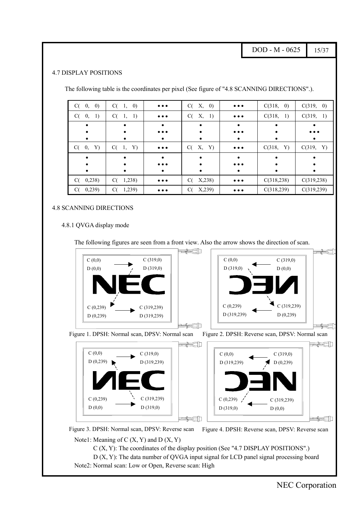DOD - M - 0625  $15/37$ 

#### <span id="page-14-0"></span>4.7 DISPLAY POSITIONS

The following table is the coordinates per pixel (See figure of "4.8 SCANNING DIRECTIONS".).

| $C(-0, 0)$     | C(1, 0)       | $\bullet\bullet\bullet$ | X, 0)<br>C(              | $\bullet\bullet\bullet$ | C(318,<br>$\left( 0\right)$ | C(319, 0)               |
|----------------|---------------|-------------------------|--------------------------|-------------------------|-----------------------------|-------------------------|
| 0,<br>1)<br>C( | $C(-1, 1)$    | $\bullet\bullet\bullet$ | Χ,<br><sup>1</sup><br>C( | $\bullet\bullet\bullet$ | C(318,<br><sup>1</sup>      | C(319, 1)               |
|                |               |                         |                          |                         |                             |                         |
|                |               | $\bullet\bullet\bullet$ |                          | $\bullet\bullet\bullet$ |                             | $\bullet\bullet\bullet$ |
|                |               | ٠                       | ٠                        | ٠                       |                             | ٠                       |
| Y)<br>$C(-0,$  | $C(-1,$<br>Y) | $\bullet\bullet\bullet$ | X, Y)<br>C(              | $\bullet\bullet\bullet$ | C(318,<br>Y)                | C(319, Y)               |
|                |               |                         | ٠                        | $\bullet$               |                             |                         |
|                |               | $\bullet\bullet\bullet$ |                          | $\bullet\bullet\bullet$ |                             |                         |
|                | $\bullet$     | $\bullet$               | $\bullet$                | $\bullet$               | ٠                           | $\bullet$               |
| $C($ 0,238)    | C(<br>1,238)  | $\bullet\bullet\bullet$ | X,238<br>C(              | $\bullet\bullet\bullet$ | C(318, 238)                 | C(319, 238)             |
| C(0, 239)      | 1,239)<br>C(  | $\bullet\bullet\bullet$ | X,239<br>C(              | $\bullet\bullet\bullet$ | C(318, 239)                 | C(319,239)              |

#### 4.8 SCANNING DIRECTIONS

#### 4.8.1 QVGA display mode

The following figures are seen from a front view. Also the arrow shows the direction of scan.

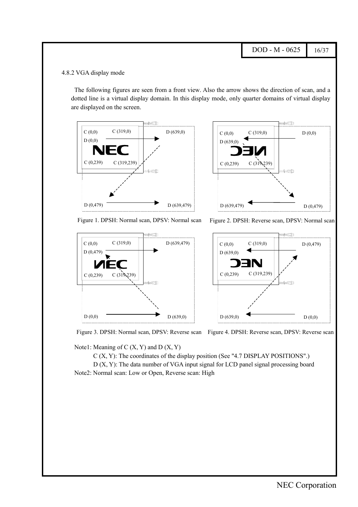$DOD - M - 0625$  16/37

#### <span id="page-15-0"></span>4.8.2 VGA display mode

The following figures are seen from a front view. Also the arrow shows the direction of scan, and a dotted line is a virtual display domain. In this display mode, only quarter domains of virtual display are displayed on the screen.





Figure 1. DPSH: Normal scan, DPSV: Normal scan Figure 2. DPSH: Reverse scan, DPSV: Normal scan





Figure 3. DPSH: Normal scan, DPSV: Reverse scan Figure 4. DPSH: Reverse scan, DPSV: Reverse scan

Note1: Meaning of  $C(X, Y)$  and  $D(X, Y)$ 

C (X, Y): The coordinates of the display position (See "4.7 DISPLAY POSITIONS".)

D (X, Y): The data number of VGA input signal for LCD panel signal processing board Note2: Normal scan: Low or Open, Reverse scan: High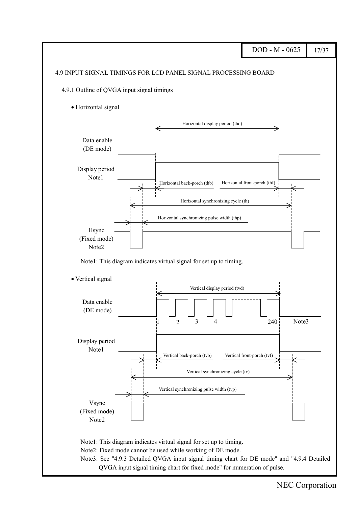<span id="page-16-0"></span>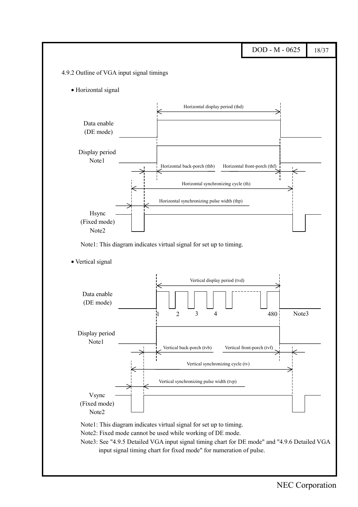<span id="page-17-0"></span>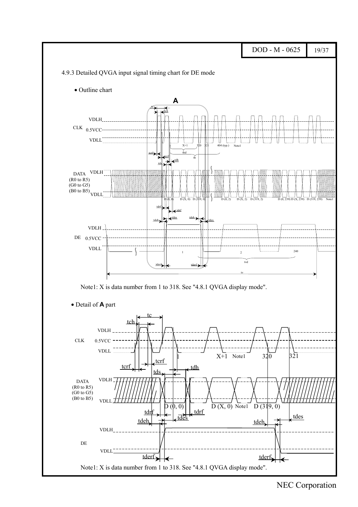<span id="page-18-0"></span>

NEC Corporation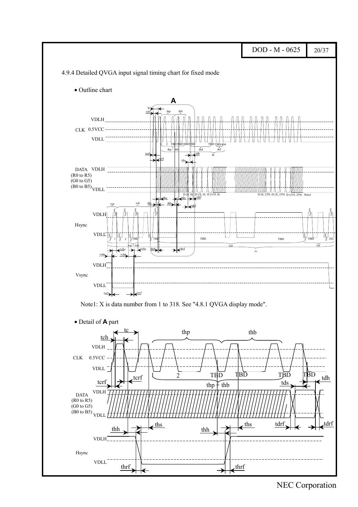<span id="page-19-0"></span>

NEC Corporation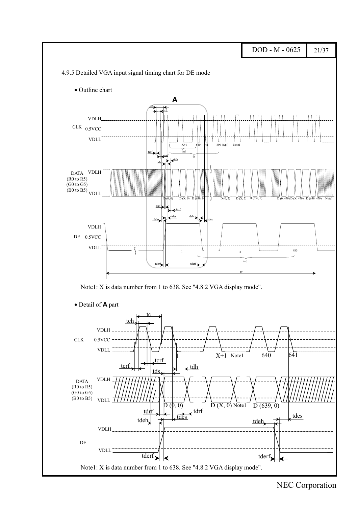<span id="page-20-0"></span>

NEC Corporation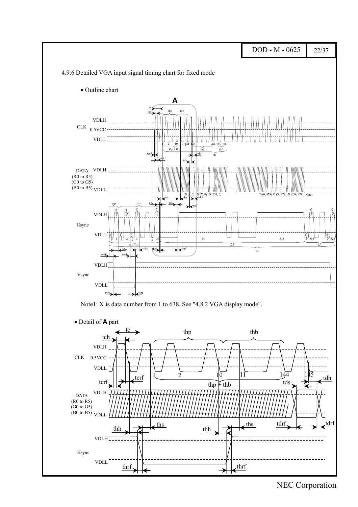<span id="page-21-0"></span>

#### NEC Corporation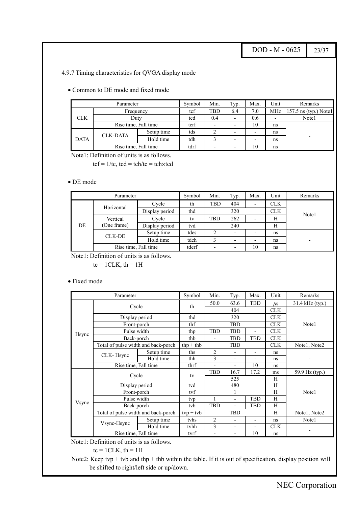DOD - M - 0625 23/37

<span id="page-22-0"></span>4.9.7 Timing characteristics for QVGA display mode

• Common to DE mode and fixed mode

|             | Parameter            |            | Symbol | Min. | Typ. | Max.                     | Unit                    | Remarks |
|-------------|----------------------|------------|--------|------|------|--------------------------|-------------------------|---------|
|             | Frequency            | tcf        | TBD    | 6.4  | 7.0  | MHz                      | $157.5$ ns (typ.) Notel |         |
| <b>CLK</b>  | Duty                 | tcd        | 0.4    |      | 0.6  | ۰                        | Note1                   |         |
|             | Rise time, Fall time | tcrf       |        |      | 10   | ns                       |                         |         |
|             |                      | Setup time | tds    |      |      | $\overline{\phantom{0}}$ | ns                      |         |
| <b>DATA</b> | <b>CLK-DATA</b>      | Hold time  | tdh    |      |      | $\overline{\phantom{0}}$ | ns                      |         |
|             | Rise time, Fall time | tdrf       |        |      | 10   | ns                       |                         |         |

Note1: Definition of units is as follows.

 $tcf = 1/tc$ ,  $tcd = tch/tc = tch \times tcd$ 

#### • DE mode

|    | Parameter            |                | Symbol | Min.                     | Typ.                     | Max.                     | Unit       | Remarks |
|----|----------------------|----------------|--------|--------------------------|--------------------------|--------------------------|------------|---------|
|    | Horizontal           | Cycle          | th     | TBD                      | 404                      | $\overline{\phantom{a}}$ | <b>CLK</b> |         |
|    |                      | Display period | thd    |                          | 320                      |                          | <b>CLK</b> | Note1   |
|    | Vertical             | Cycle          | tv     | TBD                      | 262                      |                          | Н          |         |
| DE | (One frame)          | Display period | tvd    | 240                      |                          |                          | Н          |         |
|    | CLK-DE               | Setup time     | tdes   |                          | $\overline{\phantom{0}}$ | $\overline{\phantom{0}}$ | ns         |         |
|    |                      | Hold time      | tdeh   | $\overline{\phantom{a}}$ |                          | $\overline{\phantom{a}}$ | ns         |         |
|    | Rise time, Fall time | tderf          | -      | $\overline{\phantom{a}}$ | 10                       | ns                       |            |         |

Note1: Definition of units is as follows.

 $tc = 1CLK$ ,  $th = 1H$ 

#### • Fixed mode

|               | Parameter                           |                      | Symbol                                               | Min.           | Typ.           | Max.           | Unit         | Remarks         |  |  |
|---------------|-------------------------------------|----------------------|------------------------------------------------------|----------------|----------------|----------------|--------------|-----------------|--|--|
|               |                                     |                      | th                                                   | 50.0           | 63.6           | <b>TBD</b>     | $\mu$ s      | 31.4 kHz (typ.) |  |  |
|               | Cycle                               |                      |                                                      |                | 404            |                | <b>CLK</b>   |                 |  |  |
|               | Display period                      |                      | thd                                                  |                | 320            |                | <b>CLK</b>   |                 |  |  |
|               | Front-porch                         |                      | thf                                                  | <b>TBD</b>     |                |                | <b>CLK</b>   | Note1           |  |  |
|               | Pulse width                         | thp                  | <b>TBD</b><br><b>TBD</b><br>$\overline{\phantom{a}}$ |                |                | <b>CLK</b>     |              |                 |  |  |
| <b>H</b> sync | Back-porch                          | thb                  |                                                      | <b>TBD</b>     | <b>TBD</b>     | <b>CLK</b>     |              |                 |  |  |
|               | Total of pulse width and back-porch | $thp + thb$          |                                                      | <b>TBD</b>     |                | <b>CLK</b>     | Note1, Note2 |                 |  |  |
|               | CLK-Hsync                           | Setup time           | ths                                                  | $\overline{c}$ |                | $\blacksquare$ | ns           |                 |  |  |
|               |                                     | Hold time            | thh                                                  | 3              | ٠              |                | ns           |                 |  |  |
|               | Rise time, Fall time                | thrf                 |                                                      |                | 10             | ns             |              |                 |  |  |
|               | Cycle                               |                      | tv                                                   | <b>TBD</b>     | 16.7           | 17.2           | ms           | 59.9 Hz (typ.)  |  |  |
|               |                                     |                      |                                                      |                | 525            |                | H            |                 |  |  |
|               | Display period                      |                      | tvd                                                  |                | 480            |                | H            |                 |  |  |
|               | Front-porch                         |                      | tyf                                                  |                | 1              |                | H            | Note1           |  |  |
|               | Pulse width                         |                      | typ                                                  |                | $\blacksquare$ | <b>TBD</b>     | H            |                 |  |  |
| Vsync         | Back-porch                          |                      | tyb                                                  | <b>TBD</b>     |                | <b>TBD</b>     | H            |                 |  |  |
|               | Total of pulse width and back-porch |                      | $tvp + tvb$                                          |                | <b>TBD</b>     |                | H            | Note1, Note2    |  |  |
|               | Vsync-Hsync                         | Setup time           | tyhs                                                 | $\overline{2}$ |                | ۰              | ns           | Note1           |  |  |
|               |                                     | Hold time            | tyhh                                                 | 3              | $\blacksquare$ |                | <b>CLK</b>   |                 |  |  |
|               |                                     | Rise time, Fall time |                                                      |                |                | 10             | ns           |                 |  |  |

Note1: Definition of units is as follows.

$$
tc = 1CLK, th = 1H
$$

Note2: Keep tvp + tvb and thp + thb within the table. If it is out of specification, display position will be shifted to right/left side or up/down.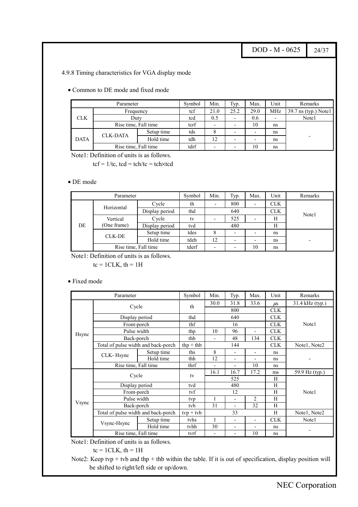DOD - M - 0625 24/37

<span id="page-23-0"></span>4.9.8 Timing characteristics for VGA display mode

• Common to DE mode and fixed mode

|             | Parameter                    |            | Symbol | Min. | Typ. | Max.                     | Unit  | Remarks                |
|-------------|------------------------------|------------|--------|------|------|--------------------------|-------|------------------------|
|             | Frequency                    |            | tcf    | 21.0 | 25.2 | 29.0                     | MHz   | $39.7$ ns (typ.) Note1 |
| <b>CLK</b>  | Duty                         | tcd        | 0.5    |      | 0.6  | ۰                        | Note1 |                        |
|             | Rise time, Fall time         | tcrf       |        |      | 10   | ns                       |       |                        |
|             |                              | Setup time | tds    |      |      | $\overline{\phantom{0}}$ | ns    |                        |
| <b>DATA</b> | <b>CLK-DATA</b><br>Hold time |            | tdh    | 12   |      | $\overline{\phantom{0}}$ | ns    |                        |
|             | Rise time, Fall time         | tdrf       |        |      | 10   | ns                       |       |                        |

Note1: Definition of units is as follows.

 $tcf = 1/tc$ ,  $tcd = tch/tc = tch \times tcd$ 

#### • DE mode

|    | Parameter            |                | Symbol | Min. | Typ. | Max.       | Unit       | Remarks |
|----|----------------------|----------------|--------|------|------|------------|------------|---------|
|    | Horizontal           | Cycle          | th     | -    | 800  | -          | <b>CLK</b> |         |
|    |                      | Display period | thd    |      | 640  | <b>CLK</b> |            | Note1   |
|    | Vertical             | Cycle          | tv     |      | 525  |            | Н          |         |
| DE | (One frame)          | Display period | tvd    |      | 480  |            | Н          |         |
|    | CLK-DE               | Setup time     | tdes   |      | -    | -          | ns         |         |
|    |                      | Hold time      | tdeh   | 12   | ۰    | ۰          | ns         |         |
|    | Rise time, Fall time | tderf          | -      | ۰    | 10   | ns         |            |         |

Note1: Definition of units is as follows.

 $tc = 1CLK$ ,  $th = 1H$ 

#### • Fixed mode

|               | Parameter                           |             | Symbol                   | Min. | Typ.                     | Max.                     | Unit         | Remarks           |  |  |
|---------------|-------------------------------------|-------------|--------------------------|------|--------------------------|--------------------------|--------------|-------------------|--|--|
|               |                                     |             | th                       | 30.0 | 31.8                     | 33.6                     | $\mu$ s      | $31.4$ kHz (typ.) |  |  |
|               | Cycle                               |             |                          |      | 800                      |                          | <b>CLK</b>   |                   |  |  |
|               | Display period                      |             | thd                      |      | 640                      |                          | <b>CLK</b>   |                   |  |  |
|               | Front-porch                         |             | thf                      | 16   |                          |                          | <b>CLK</b>   | Note1             |  |  |
|               | Pulse width                         | thp         | 10                       | 96   | $\overline{\phantom{a}}$ | <b>CLK</b>               |              |                   |  |  |
| <b>H</b> sync | Back-porch                          | thb         | $\overline{\phantom{0}}$ | 48   | 134                      | <b>CLK</b>               |              |                   |  |  |
|               | Total of pulse width and back-porch | $thp + thb$ |                          | 144  |                          | <b>CLK</b>               | Note1, Note2 |                   |  |  |
|               | CLK-Hsync                           | Setup time  | ths                      | 8    |                          | $\blacksquare$           | ns           |                   |  |  |
|               |                                     | Hold time   | thh                      | 12   | $\overline{a}$           | $\overline{\phantom{0}}$ | ns           |                   |  |  |
|               | Rise time, Fall time                | thrf        | $\overline{a}$           |      | 10                       | ns                       |              |                   |  |  |
|               | Cycle                               |             | tv                       | 16.1 | 16.7                     | 17.2                     | ms           | 59.9 Hz (typ.)    |  |  |
|               |                                     |             |                          | 525  |                          |                          | H            |                   |  |  |
|               | Display period                      |             | tvd                      |      | 480                      |                          | H            |                   |  |  |
|               | Front-porch                         |             | tyf                      |      | 12                       |                          | H            | Note1             |  |  |
|               | Pulse width                         |             | tvp                      |      | $\overline{\phantom{a}}$ | $\overline{2}$           | H            |                   |  |  |
| Vsync         | Back-porch                          |             | tyb                      | 31   |                          | 32                       | H            |                   |  |  |
|               | Total of pulse width and back-porch |             | $typ + tvb$              |      | 33                       |                          | H            | Note1, Note2      |  |  |
|               | Vsync-Hsync                         | Setup time  | tyhs                     | 1    |                          | $\blacksquare$           | <b>CLK</b>   | Note1             |  |  |
|               |                                     | Hold time   | tvhh                     | 30   |                          |                          | ns           |                   |  |  |
|               | Rise time, Fall time                |             | tvrf                     |      |                          | 10                       | ns           |                   |  |  |

Note1: Definition of units is as follows.

$$
tc = 1CLK, th = 1H
$$

Note2: Keep tvp + tvb and thp + thb within the table. If it is out of specification, display position will be shifted to right/left side or up/down.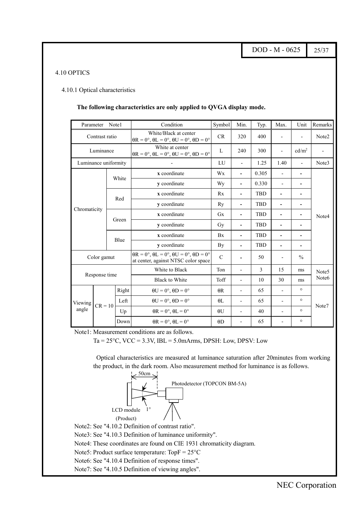DOD - M - 0625 25/37

#### <span id="page-24-0"></span>4.10 OPTICS

#### 4.10.1 Optical characteristics

#### **The following characteristics are only applied to QVGA display mode.**

| Parameter            |                | Note1 |              | Condition                                                                                                 | Symbol         | Min.                             | Typ.       | Max.                     | Unit                     | Remarks           |         |       |
|----------------------|----------------|-------|--------------|-----------------------------------------------------------------------------------------------------------|----------------|----------------------------------|------------|--------------------------|--------------------------|-------------------|---------|-------|
|                      | Contrast ratio |       |              | White/Black at center<br>$\theta$ R = 0°, $\theta$ L = 0°, $\theta$ U = 0°, $\theta$ D = 0°               | CR             | 320                              | 400        |                          |                          | Note2             |         |       |
|                      | Luminance      |       |              | White at center<br>$\theta$ R = 0°, $\theta$ L = 0°, $\theta$ U = 0°, $\theta$ D = 0°                     | L              | 240                              | 300        |                          | cd/m <sup>2</sup>        |                   |         |       |
| Luminance uniformity |                |       |              |                                                                                                           | LU             | $\overline{\phantom{a}}$         | 1.25       | 1.40                     | $\overline{\phantom{a}}$ | Note3             |         |       |
| White                |                |       | x coordinate | Wx                                                                                                        | $\blacksquare$ | 0.305                            |            |                          |                          |                   |         |       |
|                      |                |       |              | y coordinate                                                                                              | Wy             | $\overline{a}$                   | 0.330      | $\overline{\phantom{m}}$ |                          |                   |         |       |
|                      |                |       | Red          | x coordinate                                                                                              | Rx             |                                  | <b>TBD</b> |                          |                          |                   |         |       |
|                      |                |       |              | y coordinate                                                                                              | Ry             | $\blacksquare$                   | <b>TBD</b> |                          |                          |                   |         |       |
| Chromaticity         |                |       |              | x coordinate                                                                                              | Gx             | $\blacksquare$                   | <b>TBD</b> |                          |                          | Note4             |         |       |
|                      |                |       | Green        | y coordinate                                                                                              | Gy             | $\overline{\phantom{a}}$         | <b>TBD</b> | $\blacksquare$           | $\blacksquare$           |                   |         |       |
|                      |                |       | Blue         | x coordinate                                                                                              | <b>Bx</b>      | $\overline{a}$                   | <b>TBD</b> |                          |                          |                   |         |       |
|                      |                |       |              | y coordinate                                                                                              | By             |                                  | <b>TBD</b> |                          |                          |                   |         |       |
|                      | Color gamut    |       |              | $\theta$ R = 0°, $\theta$ L = 0°, $\theta$ U = 0°, $\theta$ D = 0°<br>at center, against NTSC color space | $\mathcal{C}$  |                                  | 50         |                          | $\frac{0}{0}$            |                   |         |       |
|                      |                |       |              | White to Black                                                                                            | Ton            | $\overline{\phantom{a}}$         | 3          | 15                       | ms                       | Note <sub>5</sub> |         |       |
|                      | Response time  |       |              | <b>Black to White</b>                                                                                     | Toff           | $\overline{\phantom{m}}$         | 10         | 30                       | ms                       | Note6             |         |       |
|                      |                |       | Right        | $\theta U = 0^\circ$ , $\theta D = 0^\circ$                                                               | $\theta$ R     | $\overline{a}$                   | 65         |                          | $\circ$                  |                   |         |       |
| Viewing              |                |       | Left         | $\theta U = 0^\circ$ , $\theta D = 0^\circ$                                                               | $\theta$ L     |                                  | 65         |                          | $\circ$                  |                   |         |       |
| angle                | $CR = 10$      |       |              |                                                                                                           | Up             | $\theta$ R = 0°, $\theta$ L = 0° | $\theta U$ | $\overline{a}$           | 40                       |                   | $\circ$ | Note7 |
|                      |                |       | Down         | $\theta$ R = 0°, $\theta$ L = 0°                                                                          | $\Theta$ D     |                                  | 65         |                          | $\circ$                  |                   |         |       |

Note1: Measurement conditions are as follows.

 $Ta = 25^{\circ}C$ ,  $VCC = 3.3V$ ,  $IBL = 5.0$ mArms, DPSH: Low, DPSV: Low

Optical characteristics are measured at luminance saturation after 20minutes from working the product, in the dark room. Also measurement method for luminance is as follows.



Note2: See "4.10.2 Definition of contrast ratio".

Note3: See "4.10.3 Definition of luminance uniformity".

Note4: These coordinates are found on CIE 1931 chromaticity diagram.

Note5: Product surface temperature: TopF = 25°C

Note6: See "4.10.4 Definition of response times".

Note7: See "4.10.5 Definition of viewing angles".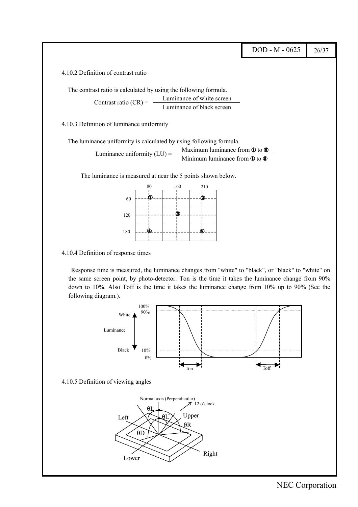<span id="page-25-0"></span>DOD - M - 0625  $\vert$  26/37 4.10.2 Definition of contrast ratio The contrast ratio is calculated by using the following formula. Luminance of white screen Luminance of black screen 4.10.3 Definition of luminance uniformity The luminance uniformity is calculated by using following formula. Maximum luminance from  $\Phi$  to  $\Phi$ Minimum luminance from  $\Phi$  to  $\Phi$ Contrast ratio  $(CR) = -$ Luminance uniformity  $(LU) = -$ 

The luminance is measured at near the 5 points shown below.



4.10.4 Definition of response times

Response time is measured, the luminance changes from "white" to "black", or "black" to "white" on the same screen point, by photo-detector. Ton is the time it takes the luminance change from 90% down to 10%. Also Toff is the time it takes the luminance change from 10% up to 90% (See the following diagram.).

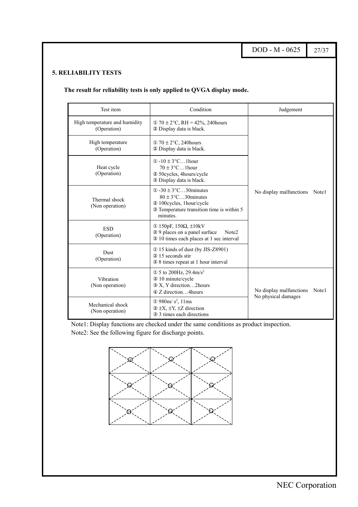DOD - M - 0625 27/37

#### <span id="page-26-0"></span>**5. RELIABILITY TESTS**

#### **The result for reliability tests is only applied to QVGA display mode.**

| Test item                                    | Condition                                                                                                                                                                                                                                                          | Judgement                        |
|----------------------------------------------|--------------------------------------------------------------------------------------------------------------------------------------------------------------------------------------------------------------------------------------------------------------------|----------------------------------|
| High temperature and humidity<br>(Operation) | $\textcircled{1}$ 70 ± 2 $\textcircled{c}$ , RH = 42%, 240 hours<br>2 Display data is black.                                                                                                                                                                       |                                  |
| High temperature<br>(Operation)              | $\textcircled{1}$ 70 $\pm$ 2°C, 240 hours<br>2 Display data is black.                                                                                                                                                                                              |                                  |
| Heat cycle<br>(Operation)                    | $\textcircled{1}$ -10 $\pm$ 3°C1hour<br>$70 \pm 3$ °C1 hour<br>2 50 cycles, 4 hours/cycle<br>3 Display data is black.                                                                                                                                              |                                  |
| Thermal shock<br>(Non operation)             | $\Phi$ -30 $\pm$ 3°C30 minutes<br>$80 \pm 3$ °C30 minutes<br>2 100cycles, 1hour/cycle<br>3 Temperature transition time is within 5<br>minutes.                                                                                                                     | No display malfunctions<br>Note1 |
| <b>ESD</b><br>(Operation)                    | ① 150pF, 150Ω, $\pm$ 10kV<br>29 places on a panel surface<br>Note <sub>2</sub><br>3 10 times each places at 1 sec interval                                                                                                                                         |                                  |
| Dust<br>(Operation)                          | 15 kinds of dust (by JIS-Z8901)<br>20 15 seconds stir<br>3 8 times repeat at 1 hour interval                                                                                                                                                                       |                                  |
| Vibration<br>(Non operation)                 | $\Phi$ 5 to 200Hz, 29.4m/s <sup>2</sup><br>20 10 minute/cycle<br>3 X, Y direction2hours<br>4 Z direction4 hours<br>$\Omega$ 980m/ s <sup>2</sup> , 11ms<br>Mechanical shock<br>$(2 \pm X, \pm Y, \pm Z)$ direction<br>(Non operation)<br>3 3 times each directions |                                  |
|                                              |                                                                                                                                                                                                                                                                    |                                  |

Note1: Display functions are checked under the same conditions as product inspection. Note2: See the following figure for discharge points.

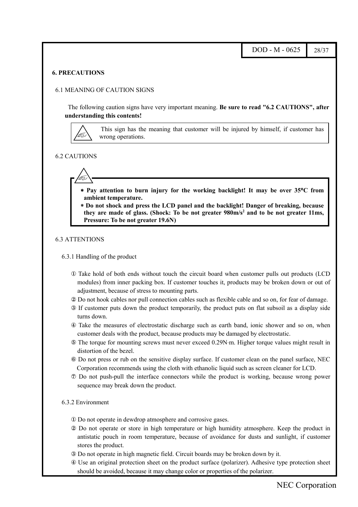#### <span id="page-27-0"></span>**6. PRECAUTIONS**

#### 6.1 MEANING OF CAUTION SIGNS

The following caution signs have very important meaning. **Be sure to read "6.2 CAUTIONS", after understanding this contents!**



This sign has the meaning that customer will be injured by himself, if customer has wrong operations.

#### 6.2 CAUTIONS



- ∗ **Pay attention to burn injury for the working backlight! It may be over 35**°**C from ambient temperature.**
- ∗ **Do not shock and press the LCD panel and the backlight! Danger of breaking, because** they are made of glass. (Shock: To be not greater 980m/s<sup>2</sup> and to be not greater 11ms, **Pressure: To be not greater 19.6N)**

#### 6.3 ATTENTIONS

#### 6.3.1 Handling of the product

- ① Take hold of both ends without touch the circuit board when customer pulls out products (LCD modules) from inner packing box. If customer touches it, products may be broken down or out of adjustment, because of stress to mounting parts.
- ② Do not hook cables nor pull connection cables such as flexible cable and so on, for fear of damage.
- ③ If customer puts down the product temporarily, the product puts on flat subsoil as a display side turns down.
- ④ Take the measures of electrostatic discharge such as earth band, ionic shower and so on, when customer deals with the product, because products may be damaged by electrostatic.
- ⑤ The torque for mounting screws must never exceed 0.29N⋅m. Higher torque values might result in distortion of the bezel.
- ⑥ Do not press or rub on the sensitive display surface. If customer clean on the panel surface, NEC Corporation recommends using the cloth with ethanolic liquid such as screen cleaner for LCD.
- ⑦ Do not push-pull the interface connectors while the product is working, because wrong power sequence may break down the product.

#### 6.3.2 Environment

- ① Do not operate in dewdrop atmosphere and corrosive gases.
- ② Do not operate or store in high temperature or high humidity atmosphere. Keep the product in antistatic pouch in room temperature, because of avoidance for dusts and sunlight, if customer stores the product.
- ③ Do not operate in high magnetic field. Circuit boards may be broken down by it.
- ④ Use an original protection sheet on the product surface (polarizer). Adhesive type protection sheet should be avoided, because it may change color or properties of the polarizer.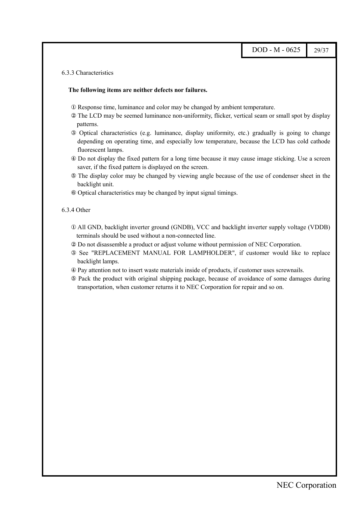#### <span id="page-28-0"></span>6.3.3 Characteristics

#### **The following items are neither defects nor failures.**

- ① Response time, luminance and color may be changed by ambient temperature.
- ② The LCD may be seemed luminance non-uniformity, flicker, vertical seam or small spot by display patterns.
- ③ Optical characteristics (e.g. luminance, display uniformity, etc.) gradually is going to change depending on operating time, and especially low temperature, because the LCD has cold cathode fluorescent lamps.
- ④ Do not display the fixed pattern for a long time because it may cause image sticking. Use a screen saver, if the fixed pattern is displayed on the screen.
- ⑤ The display color may be changed by viewing angle because of the use of condenser sheet in the backlight unit.
- ⑥ Optical characteristics may be changed by input signal timings.

#### 6.3.4 Other

- ① All GND, backlight inverter ground (GNDB), VCC and backlight inverter supply voltage (VDDB) terminals should be used without a non-connected line.
- ② Do not disassemble a product or adjust volume without permission of NEC Corporation.
- ③ See "REPLACEMENT MANUAL FOR LAMPHOLDER", if customer would like to replace backlight lamps.
- ④ Pay attention not to insert waste materials inside of products, if customer uses screwnails.
- ⑤ Pack the product with original shipping package, because of avoidance of some damages during transportation, when customer returns it to NEC Corporation for repair and so on.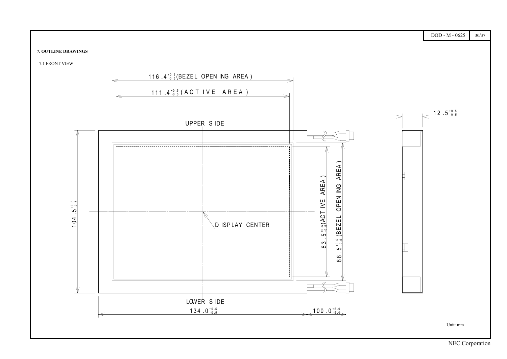#### <span id="page-29-0"></span>**7. OUTLINE DRAWINGS**



7.1 FRONT VIEW

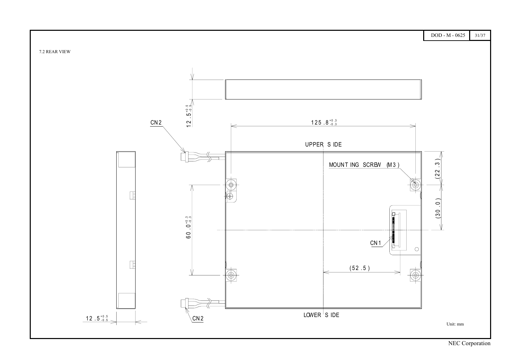<span id="page-30-0"></span>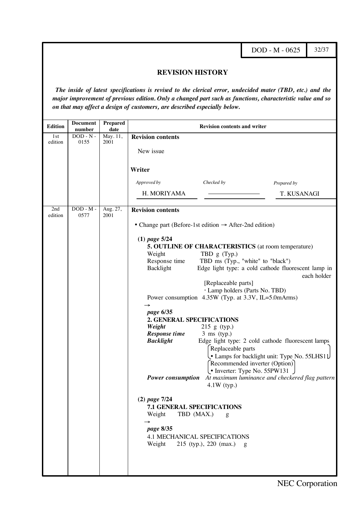DOD - M - 0625 32/37

32

#### **REVISION HISTORY**

<span id="page-31-0"></span>*The inside of latest specifications is revised to the clerical error, undecided mater (TBD, etc.) and the major improvement of previous edition. Only a changed part such as functions, characteristic value and so on that may affect a design of customers, are described especially below.*

| <b>Edition</b> | <b>Document</b><br>number | <b>Prepared</b><br>date | <b>Revision contents and writer</b>                                                                                                                                                                                                                                                                                                                                                                                                                                                                                                                                                                                                                                                                                                                                                                                                                                                                                           |
|----------------|---------------------------|-------------------------|-------------------------------------------------------------------------------------------------------------------------------------------------------------------------------------------------------------------------------------------------------------------------------------------------------------------------------------------------------------------------------------------------------------------------------------------------------------------------------------------------------------------------------------------------------------------------------------------------------------------------------------------------------------------------------------------------------------------------------------------------------------------------------------------------------------------------------------------------------------------------------------------------------------------------------|
| 1st<br>edition | $DOD - N -$<br>0155       | May. 11,<br>2001        | <b>Revision contents</b><br>New issue                                                                                                                                                                                                                                                                                                                                                                                                                                                                                                                                                                                                                                                                                                                                                                                                                                                                                         |
|                |                           |                         | Writer                                                                                                                                                                                                                                                                                                                                                                                                                                                                                                                                                                                                                                                                                                                                                                                                                                                                                                                        |
|                |                           |                         | Approved by<br>Checked by<br>Prepared by<br>H. MORIYAMA<br>T. KUSANAGI                                                                                                                                                                                                                                                                                                                                                                                                                                                                                                                                                                                                                                                                                                                                                                                                                                                        |
| 2nd<br>edition | $DOD - M -$<br>0577       | Aug. 27,<br>2001        | <b>Revision contents</b><br>• Change part (Before-1st edition $\rightarrow$ After-2nd edition)<br>$(1)$ page 5/24<br>5. OUTLINE OF CHARACTERISTICS (at room temperature)<br>Weight<br>TBD g (Typ.)<br>TBD ms (Typ., "white" to "black")<br>Response time<br>Backlight<br>Edge light type: a cold cathode fluorescent lamp in<br>each holder<br>[Replaceable parts]<br>· Lamp holders (Parts No. TBD)<br>Power consumption 4.35W (Typ. at 3.3V, IL=5.0mArms)<br>page 6/35<br>2. GENERAL SPECIFICATIONS<br>Weight<br>$215 \text{ g (typ.)}$<br>Response time<br>$3 \text{ ms (typ.)}$<br><b>Backlight</b><br>Edge light type: 2 cold cathode fluorescent lamps<br>Replaceable parts<br>$\cdot$ Lamps for backlight unit: Type No. 55LHS11<br>Recommended inverter (Option)<br>• Inverter: Type No. 55PW131<br>At maximum luminance and checkered flag pattern<br><b>Power consumption</b><br>$4.1W$ (typ.)<br>$(2)$ page $7/24$ |
|                |                           |                         | <b>7.1 GENERAL SPECIFICATIONS</b><br>Weight<br>TBD (MAX.)<br>g<br>page 8/35<br><b>4.1 MECHANICAL SPECIFICATIONS</b><br>Weight<br>$215$ (typ.), 220 (max.) g                                                                                                                                                                                                                                                                                                                                                                                                                                                                                                                                                                                                                                                                                                                                                                   |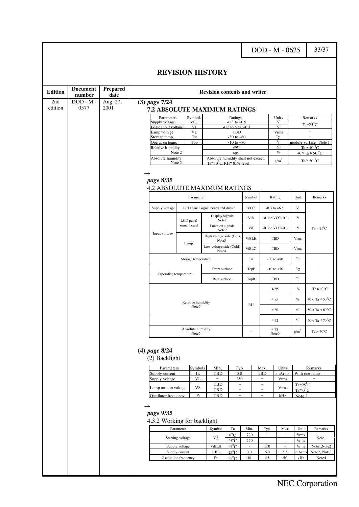DOD - M - 0625 33/37

33

#### **REVISION HISTORY**

| <b>Edition</b> | <b>Document</b><br>number | <b>Prepared</b><br>date |                                                   |                           |                            | <b>Revision contents and writer</b>                  |                                               |                     |                                      |                             |                                                  |                               |
|----------------|---------------------------|-------------------------|---------------------------------------------------|---------------------------|----------------------------|------------------------------------------------------|-----------------------------------------------|---------------------|--------------------------------------|-----------------------------|--------------------------------------------------|-------------------------------|
| 2nd<br>edition | $DOD - M -$<br>0577       | Aug. 27,<br>2001        | $(3)$ page $7/24$<br>7.2 ABSOLUTE MAXIMUM RATINGS |                           |                            |                                                      |                                               |                     |                                      |                             |                                                  |                               |
|                |                           |                         | Parameters                                        |                           | Symbols                    |                                                      | Ratings                                       |                     |                                      | Units                       |                                                  | <b>Remarks</b>                |
|                |                           |                         | Supply voltage                                    |                           | <b>VCC</b>                 |                                                      | $-0.3$ to $+6.5$                              |                     |                                      | V                           |                                                  | $Ta=25^{\circ}C$              |
|                |                           |                         | Logic Input voltage<br>Lamp voltage               |                           | VI<br>VL                   |                                                      | $0.3$ to VCC+0.3<br>TBD                       |                     |                                      | $\mathbf{V}$<br><b>Vrms</b> | $\overline{\phantom{0}}$                         |                               |
|                |                           |                         | Storage temp.                                     |                           | Tst                        |                                                      | $-30$ to $+80$                                |                     |                                      | °C                          |                                                  | $\overline{\phantom{0}}$      |
|                |                           |                         | Operation temp.                                   |                           | Top                        |                                                      | $-10$ to $+70$<br>$\leq 95$                   |                     |                                      | °C                          |                                                  | module surface Note 1         |
|                |                           |                         | Relative humidity                                 | Note 2                    |                            |                                                      |                                               |                     | $\%$<br>$\%$                         |                             | Ta $\leq 40$ °C<br>$40 \leq Ta \leq 50^{\circ}C$ |                               |
|                |                           |                         | Absolute humidity                                 |                           |                            | Absolute humidity shall not exceed                   |                                               |                     | $\overline{\mathbf{3}}$              |                             |                                                  |                               |
|                |                           |                         | Note 2                                            |                           |                            | $Ta = 50^{\circ}C$ . RH = 85% level                  |                                               |                     |                                      | g/m                         |                                                  | Ta > 50 $^{\circ}$ C          |
|                |                           |                         | page 8/35<br><b>4.2 ABSOLUTE MAXIMUM RATINGS</b>  |                           |                            |                                                      |                                               |                     |                                      |                             |                                                  |                               |
|                |                           |                         |                                                   | Parameter                 |                            |                                                      | Symbol                                        |                     | Rating                               | Unit                        | Remarks                                          |                               |
|                |                           |                         | Supply voltage                                    |                           |                            | LCD panel signal board and driver<br>Display signals |                                               | <b>VCC</b>          |                                      | $-0.3$ to $+6.5$            | V                                                |                               |
|                |                           |                         |                                                   | LCD panel<br>signal board |                            | Note1<br>Function signals                            |                                               | ViD                 |                                      | $-0.3$ to VCC $+0.3$        | V                                                |                               |
|                |                           |                         | Input voltage                                     |                           |                            | Note2<br>High voltage side (Hot)                     |                                               | ViF<br><b>ViBLH</b> |                                      | $-0.3$ to VCC $+0.3$<br>TBD | $\ensuremath{\mathbf{V}}$<br><b>Vrms</b>         | $Ta = 25^{\circ}C$            |
|                |                           |                         |                                                   | Lamp                      |                            | Note3<br>Low voltage side (Cold)                     |                                               | <b>ViBLC</b>        |                                      | <b>TBD</b>                  | <b>Vrms</b>                                      |                               |
|                |                           |                         |                                                   |                           | Storage temperature        | Note4                                                |                                               | Tst                 | $-30$ to $+80$                       |                             | °C                                               |                               |
|                |                           |                         |                                                   |                           |                            | Front surface                                        |                                               | TopF                | $-10$ to $+70$                       |                             | °C                                               |                               |
|                |                           |                         | Operating temperature                             |                           |                            | Rear surface                                         |                                               | TopR                | <b>TBD</b>                           |                             | $^{\circ}C$                                      |                               |
|                |                           |                         |                                                   |                           |                            |                                                      |                                               |                     |                                      | $\leq 95$                   | $\%$                                             | $Ta \leq 40^{\circ}C$         |
|                |                           |                         |                                                   |                           | Relative humidity<br>Note5 |                                                      |                                               | RH                  |                                      | $\leq 85$                   | $\%$                                             | $40 <$ Ta $\leq 50^{\circ}$ C |
|                |                           |                         |                                                   |                           |                            |                                                      |                                               |                     |                                      | $\leq 60$                   | $\%$                                             | $50 < Ta \le 60^{\circ}C$     |
|                |                           |                         |                                                   |                           | Absolute humidity          |                                                      |                                               |                     | $\leq 42$<br>$\leq 78$               |                             | $\%$                                             | $60 < Ta \leq 70^{\circ}$ C   |
|                |                           |                         |                                                   |                           | Note5                      |                                                      |                                               | ÷,                  |                                      | Note6                       | $g/m^3$                                          | $Ta > 70^{\circ}C$            |
|                |                           |                         | $(4)$ page $8/24$<br>(2) Backlight                |                           |                            |                                                      |                                               |                     |                                      |                             |                                                  |                               |
|                |                           |                         | Parameters                                        |                           | Symbols<br>IL              | Min.                                                 | Typ.                                          |                     | Max.                                 | Unit <sub>s</sub>           |                                                  | Remarks<br>With one lamp      |
|                |                           |                         | Supply current<br>Supply voltage                  |                           | <b>VL</b>                  | <b>TBD</b><br>$\overline{\phantom{a}}$               | 5.0<br>350                                    |                     | <b>TBD</b><br>$\equiv$               | mArms<br><b>Vrms</b>        |                                                  | $\equiv$                      |
|                |                           |                         | Lamp turn on voltage                              |                           | VS                         | TBD<br>TBD                                           | $\qquad \qquad -$<br>$\overline{\phantom{0}}$ |                     | $\overline{\phantom{a}}$<br>$\equiv$ | Vrms                        | $Ta=25^{\circ}C$<br>$Ta = 0^{\circ}C$            |                               |
|                |                           |                         | Oscillator frequency                              |                           | F <sub>t</sub>             | <b>TBD</b>                                           | $\qquad \qquad -$                             |                     | $\overline{\phantom{a}}$             | kHz                         | Note 1                                           |                               |
|                |                           |                         | page 9/35<br>4.3.2 Working for backlight          |                           |                            |                                                      |                                               |                     |                                      |                             |                                                  |                               |
|                |                           |                         |                                                   | Parameter                 |                            | Symbol                                               | $\rm Ta$                                      | Min.                | Typ.                                 | Max.                        | Unit                                             | Remarks                       |
|                |                           |                         | Starting voltage                                  |                           | VS                         | $0^{\circ}$ C<br>$25^{\circ}$ C                      | 720<br>570                                    | ÷.<br>÷.            | $\overline{a}$                       | Vrms<br>Vrms                | Note1                                            |                               |
|                |                           |                         |                                                   | Supply voltage            |                            | <b>ViBLH</b>                                         | $25^{\circ}$ C                                |                     | 350                                  |                             | Vrms                                             | Note1, Note2                  |
|                |                           |                         | Supply current                                    |                           | <b>IiBL</b>                | $25^{\circ}$ C                                       | 3.0                                           | 5.0                 | 5.5                                  | mArm                        | Note2, Note3                                     |                               |
|                |                           |                         | Oscillation frequency                             |                           |                            | Ft                                                   | $25^{\circ}$ C                                | 40                  | 45                                   | 50                          | kHz                                              | Note4                         |
|                |                           |                         |                                                   |                           |                            |                                                      |                                               |                     |                                      |                             |                                                  |                               |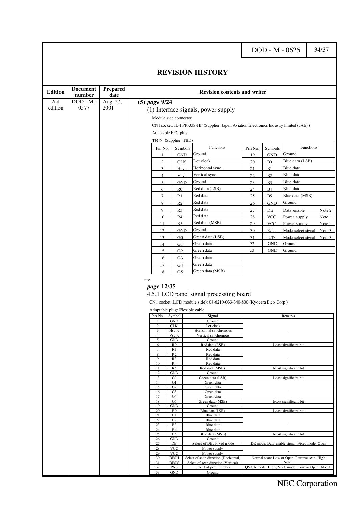DOD - M - 0625 34/37

| <b>Edition</b> | <b>Document</b><br>number | Prepared<br>date |                       |                                  | <b>Revision contents and writer</b>                                                                               |           |                              |                                                       |
|----------------|---------------------------|------------------|-----------------------|----------------------------------|-------------------------------------------------------------------------------------------------------------------|-----------|------------------------------|-------------------------------------------------------|
| 2nd            | $DOD - M -$               | Aug. 27,         | $(5)$ page $9/24$     |                                  |                                                                                                                   |           |                              |                                                       |
| edition        | 0577                      | 2001             |                       |                                  | (1) Interface signals, power supply                                                                               |           |                              |                                                       |
|                |                           |                  |                       | Module side connector            |                                                                                                                   |           |                              |                                                       |
|                |                           |                  |                       |                                  | CN1 socket: IL-FPR-33S-HF (Supplier: Japan Aviation Electronics Industry limited (JAE))                           |           |                              |                                                       |
|                |                           |                  |                       | Adaptable FPC plug               |                                                                                                                   |           |                              |                                                       |
|                |                           |                  |                       | TBD (Supplier: TBD)              |                                                                                                                   |           |                              |                                                       |
|                |                           |                  |                       |                                  | Functions                                                                                                         |           |                              | Functions                                             |
|                |                           |                  | Pin No.               | Symbols                          | Ground                                                                                                            | Pin No.   | Symbols                      | Ground                                                |
|                |                           |                  | $\mathfrak{D}$        | <b>GND</b><br><b>CLK</b>         | Dot clock                                                                                                         | 19<br>20  | <b>GND</b><br>B <sub>0</sub> | Blue data (LSB)                                       |
|                |                           |                  | 3                     | Hsync                            | B1                                                                                                                | Blue data |                              |                                                       |
|                |                           |                  | $\overline{4}$        |                                  | Horizontal sync.<br>Vertical sync.                                                                                | 21<br>22  | B2                           | Blue data                                             |
|                |                           |                  | 5                     | Vsync<br><b>GND</b>              | Ground                                                                                                            | 23        | B <sub>3</sub>               | Blue data                                             |
|                |                           |                  | 6                     | R <sub>0</sub>                   | Red data (LSB)                                                                                                    | 24        | <b>B4</b>                    | Blue data                                             |
|                |                           |                  | $\overline{7}$        | R1                               | Red data                                                                                                          | 25        | B <sub>5</sub>               | Blue data (MSB)                                       |
|                |                           |                  | 8                     | R2                               | Red data                                                                                                          | 26        | <b>GND</b>                   | Ground                                                |
|                |                           |                  | 9                     | R <sub>3</sub>                   | Red data                                                                                                          | 27        | DE                           | Data enable<br>Note 2                                 |
|                |                           |                  | 10                    | R4                               | Red data                                                                                                          | 28        | <b>VCC</b>                   | Power supply<br><u>Note</u> 1                         |
|                |                           |                  | 11                    | R5                               | Red data (MSB)                                                                                                    | 29        | <u>VCC</u>                   | Power supply<br>Note 1                                |
|                |                           |                  | 12                    | <b>GND</b>                       | Ground                                                                                                            | 30        | R/L                          | Mode select signal<br>Note 3                          |
|                |                           |                  | 13                    | G <sub>0</sub>                   | Green data (LSB)                                                                                                  | 31        | U/D                          | Mode select signal<br>Note $3$                        |
|                |                           |                  | 14                    | G1                               | Green data                                                                                                        | 32        | $\operatorname{GND}$         | Ground                                                |
|                |                           |                  | 15                    | G <sub>2</sub>                   | Green data                                                                                                        | 33        | <b>GND</b>                   | Ground                                                |
|                |                           |                  | 16                    | G <sub>3</sub>                   | Green data                                                                                                        |           |                              |                                                       |
|                |                           |                  | 17                    | G <sub>4</sub>                   | Green data                                                                                                        |           |                              |                                                       |
|                |                           |                  |                       |                                  |                                                                                                                   |           |                              |                                                       |
|                |                           |                  | 18<br>→<br>page 12/35 | G5                               | Green data (MSB)                                                                                                  |           |                              |                                                       |
|                |                           |                  |                       |                                  | 4.5.1 LCD panel signal processing board<br>CN1 socket (LCD module side): 08-6210-033-340-800 (Kyocera Elco Corp.) |           |                              |                                                       |
|                |                           |                  |                       | Adaptable plug: Flexible cable   |                                                                                                                   |           |                              |                                                       |
|                |                           |                  | Pin No.               | Symbol                           | Signal                                                                                                            |           |                              | Remarks                                               |
|                |                           |                  | 2                     | <b>GND</b><br><b>CLK</b>         | Ground<br>Dot clock                                                                                               |           |                              |                                                       |
|                |                           |                  | 3                     | Hsync                            | Horizontal synchronous                                                                                            |           |                              |                                                       |
|                |                           |                  | 4<br>5                | Vsync<br><b>GND</b>              | Vertical synchronous<br>Ground                                                                                    |           |                              |                                                       |
|                |                           |                  | 6                     | R <sub>0</sub>                   | Red data (LSB)                                                                                                    |           |                              | Least significant bit                                 |
|                |                           |                  | 7<br>8                | R <sub>1</sub><br>R <sub>2</sub> | Red data<br>Red data                                                                                              |           |                              |                                                       |
|                |                           |                  | 9                     | R <sub>3</sub>                   | Red data                                                                                                          |           |                              |                                                       |
|                |                           |                  | 10<br>11              | R <sub>4</sub><br>R <sub>5</sub> | Red data<br>Red data (MSB)                                                                                        |           |                              | Most significant bit                                  |
|                |                           |                  | 12                    | <b>GND</b>                       | Ground                                                                                                            |           |                              | $\sim$                                                |
|                |                           |                  | 13<br>14              | G0<br>G1                         | Green data (LSB)<br>Green data                                                                                    |           |                              | Least significant bit                                 |
|                |                           |                  | 15                    | G2                               | Green data                                                                                                        |           |                              |                                                       |
|                |                           |                  | 16<br>17              | G <sub>3</sub><br>G4             | Green data<br>Green data                                                                                          |           |                              |                                                       |
|                |                           |                  | 18                    | G <sub>5</sub>                   | Green data (MSB)                                                                                                  |           |                              | Most significant bit                                  |
|                |                           |                  | 19<br>20              | <b>GND</b><br>B <sub>0</sub>     | Ground<br>Blue data (LSB)                                                                                         |           |                              | Least significant bit                                 |
|                |                           |                  | 21                    | B1                               | Blue data                                                                                                         |           |                              |                                                       |
|                |                           |                  | 22<br>23              | B <sub>2</sub><br><b>B3</b>      | Blue data<br>Blue data                                                                                            |           |                              |                                                       |
|                |                           |                  | 24                    | <b>B4</b>                        | Blue data                                                                                                         |           |                              |                                                       |
|                |                           |                  | 25                    | <b>B5</b>                        | Blue data (MSB)                                                                                                   |           |                              | Most significant bit                                  |
|                |                           |                  | 26<br>27              | <b>GND</b><br>DE                 | Ground<br>Select of DE / Fixed mode                                                                               |           |                              | DE mode: Data enable signal, Fixed mode: Open         |
|                |                           |                  | 28                    | <b>VCC</b>                       | Power supply                                                                                                      |           |                              |                                                       |
|                |                           |                  | 29<br>30              | <b>VCC</b><br><b>DPSH</b>        | Power supply<br>Select of scan direction (Horizontal)                                                             |           |                              | Normal scan: Low or Open, Reverse scan: High          |
|                |                           |                  | 31<br>32              | <b>DPSV</b><br><b>PNS</b>        | Select of scan direction (Vertical)<br>Select of pixel number                                                     |           |                              | Note1<br>QVGA mode: High, VGA mode: Low or Open Note1 |

### NEC Corporation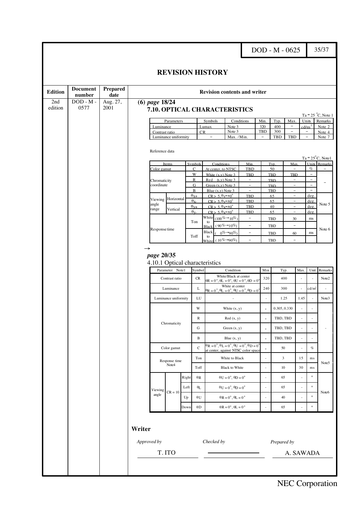DOD - M - 0625 35/37

35

#### **REVISION HISTORY**

| <b>Edition</b> | <b>Document</b><br>number | <b>Prepared</b><br>date |             |                            |                        |                                   |                                                                                   | <b>Revision contents and writer</b>                                                                                                      |                                             |                          |                   |                               |                                 |                          |                           |                            |
|----------------|---------------------------|-------------------------|-------------|----------------------------|------------------------|-----------------------------------|-----------------------------------------------------------------------------------|------------------------------------------------------------------------------------------------------------------------------------------|---------------------------------------------|--------------------------|-------------------|-------------------------------|---------------------------------|--------------------------|---------------------------|----------------------------|
| 2nd<br>edition | $DOD - M -$<br>0577       | Aug. 27,<br>2001        |             | $(6)$ page $18/24$         |                        |                                   |                                                                                   | 7.10. OPTICAL CHARACTERISTICS                                                                                                            |                                             |                          |                   |                               |                                 |                          |                           |                            |
|                |                           |                         |             |                            |                        |                                   |                                                                                   |                                                                                                                                          |                                             |                          |                   |                               |                                 |                          |                           | $Ta = 25 °C$ , Note 1      |
|                |                           |                         |             | Luminance                  | Parameters             |                                   |                                                                                   | <b>Symbols</b><br>Lumax                                                                                                                  | Note 3                                      | Conditions               | Min<br>320        | Typ.<br>400                   | Max<br>$\overline{\phantom{0}}$ |                          | Units<br>d/m <sup>2</sup> | Remarks<br>Note 2          |
|                |                           |                         |             | Contrast ratio             |                        |                                   | CR                                                                                |                                                                                                                                          | Note 3                                      |                          | TBD               | 300                           | $\bar{\phantom{a}}$             |                          | $\overline{\phantom{a}}$  | Note 4                     |
|                |                           |                         |             |                            | Luminance uniformity   |                                   |                                                                                   | Max. /Min.                                                                                                                               |                                             | $\overline{\phantom{a}}$ | TBD<br>TBD        |                               |                                 | $\overline{\phantom{a}}$ | Note 7                    |                            |
|                |                           |                         |             | Reference data             |                        |                                   |                                                                                   |                                                                                                                                          |                                             |                          |                   |                               |                                 |                          |                           | $Ta = 25^{\circ}C$ , Notel |
|                |                           |                         |             | Items                      |                        | Symbols                           | <b>Conditions</b><br>Min                                                          |                                                                                                                                          |                                             | Tvp                      | Max               |                               | <b>Units</b>                    | Remarks                  |                           |                            |
|                |                           |                         |             | Color gamut                |                        | $\mathcal{C}$                     | At center, to NTSC                                                                |                                                                                                                                          | <b>TBD</b>                                  |                          | 50                |                               |                                 | $\%$                     |                           |                            |
|                |                           |                         |             |                            |                        | W<br>$\mathbb{R}$                 | White (x v) Note 3<br>Red(x.v) Note 3                                             |                                                                                                                                          | <b>TBD</b><br>$\overline{\phantom{a}}$      |                          | TBD<br><b>TBD</b> | <b>TBD</b><br>÷               |                                 | $\equiv$<br>$\equiv$     |                           |                            |
|                |                           |                         |             | Chromaticity<br>coordinate |                        | G                                 | Green $(x,y)$ Note 3                                                              |                                                                                                                                          | $\overline{\phantom{a}}$                    |                          | TBD               | ÷                             |                                 | $\equiv$                 |                           |                            |
|                |                           |                         |             |                            |                        | $\bf{B}$                          | Blue $(x,y)$ Note 3                                                               |                                                                                                                                          | $\overline{\phantom{a}}$                    |                          | <b>TBD</b>        | $\overline{\phantom{0}}$      |                                 | $\overline{\phantom{0}}$ |                           |                            |
|                |                           |                         |             | Horizontal<br>Viewing      |                        | $\theta_{X+}$<br>$\theta_{\rm x}$ | $CR > 5$ , $\theta$ <sub>V</sub> = $\pm$ 0 <sup>°</sup><br>$CR > 5.9v=±0^{\circ}$ |                                                                                                                                          | <b>TBD</b><br>TBD                           |                          | 65<br>65          | $\overline{\phantom{a}}$<br>÷ |                                 | deg.<br>deg              |                           |                            |
|                |                           |                         |             | angle<br>range<br>Vertical |                        | $\theta_{V}$                      | $CR > 5.9x=±0^{\circ}$                                                            |                                                                                                                                          | <b>TBD</b>                                  |                          | 40                | ÷                             |                                 | deg                      | Note 5                    |                            |
|                |                           |                         |             |                            |                        | $\theta_{\rm V}$                  | $CR > 5.9x=±0^{\circ}$                                                            |                                                                                                                                          | TBD                                         |                          | 65                | $\overline{\phantom{a}}$      |                                 | deg                      |                           |                            |
|                |                           |                         |             |                            |                        | Ton                               | White<br>to                                                                       | $(100\% \rightarrow 10\%)$                                                                                                               | $\overline{\phantom{a}}$                    |                          | TBD               | 30                            |                                 | ms                       |                           |                            |
|                |                           |                         |             | Response time              |                        |                                   | <b>Black</b>                                                                      | $(90\% \rightarrow 10\%)$                                                                                                                | $\overline{\phantom{a}}$                    |                          | TBD               | $\overline{\phantom{0}}$      |                                 |                          | Note 6                    |                            |
|                |                           |                         |             |                            |                        | Toff                              | <b>Black</b><br>$0\% \rightarrow 90\%$<br>$\overline{\phantom{a}}$<br>to          |                                                                                                                                          |                                             |                          | TBD               | 60                            |                                 | ms                       |                           |                            |
|                |                           |                         |             |                            |                        |                                   | White                                                                             | $(10\% \rightarrow 90\%)$                                                                                                                | $\overline{\phantom{a}}$                    |                          | <b>TBD</b>        | $\overline{\phantom{a}}$      |                                 |                          |                           |                            |
|                |                           |                         |             | page 20/35                 | Parameter Note1        |                                   | Symbol                                                                            | 4.10.1 Optical characteristics                                                                                                           | Condition                                   |                          | Min               | Typ.                          |                                 | Max.                     | Unit                      | Remarks                    |
|                |                           |                         |             |                            | Contrast ratio         |                                   | CR                                                                                | White/Black at center<br>$\Theta R = 0^\circ$ , $\Theta L = 0^\circ$ , $\Theta U = 0^\circ$ , $\Theta D = 0^\circ$                       |                                             | 320                      | 400               |                               | ä,                              |                          | Note2                     |                            |
|                |                           |                         |             |                            | Luminance              |                                   | L                                                                                 | White at center<br>$\theta$ R = 0 <sup>°</sup> , $\theta$ L = 0 <sup>°</sup> , $\theta$ U = 0 <sup>°</sup> , $\theta$ D = 0 <sup>°</sup> |                                             | 240                      | 300               |                               |                                 | cd/m <sup>2</sup>        |                           |                            |
|                |                           |                         |             |                            | Luminance uniformity   |                                   | LU                                                                                |                                                                                                                                          |                                             | ÷,                       | 1.25              |                               | 1.45                            |                          | Note3                     |                            |
|                |                           |                         |             |                            |                        |                                   | W                                                                                 |                                                                                                                                          | White $(x, y)$                              |                          |                   | 0.305, 0.330                  |                                 | ÷                        |                           |                            |
|                |                           |                         |             |                            | Chromaticity           |                                   | $\mathbb R$                                                                       |                                                                                                                                          | Red(x, y)                                   |                          | $\blacksquare$    | TBD, TBD                      |                                 | $\overline{\phantom{a}}$ |                           |                            |
|                |                           |                         |             |                            |                        |                                   | G<br>B                                                                            |                                                                                                                                          | Green $(x, y)$                              |                          | $\blacksquare$    | TBD, TBD                      |                                 | ÷,                       |                           |                            |
|                |                           |                         |             |                            | Color gamut            |                                   | $\mathbf C$                                                                       | $\theta$ R = 0°, $\theta$ L = 0°, $\theta$ U = 0°, $\theta$ D = 0°                                                                       | Blue $(x, y)$                               |                          |                   | TBD, TBD<br>50                |                                 | ÷,                       | $\%$                      |                            |
|                |                           |                         |             |                            |                        |                                   | Ton                                                                               | at center, against NTSC color space                                                                                                      | White to Black                              |                          |                   | $\mathfrak{Z}$                |                                 | 15                       | ms                        |                            |
|                |                           |                         |             |                            | Response time<br>Note4 |                                   | Toff                                                                              |                                                                                                                                          | <b>Black to White</b>                       |                          |                   | 10                            |                                 | 30                       | ms                        | Note5                      |
|                |                           |                         |             |                            |                        | Right                             | $\theta$ R                                                                        |                                                                                                                                          | $\theta U = 0^\circ$ , $\theta D = 0^\circ$ |                          |                   | 65                            |                                 | ÷,                       | $\circ$                   |                            |
|                |                           |                         |             | Viewing                    | $CR = 10$              | Left                              | $\theta_{\rm L}$                                                                  |                                                                                                                                          | $\theta U = 0^\circ, \theta D = 0^\circ$    |                          |                   | 65                            |                                 | $\bar{a}$                | $\circ$                   | Note6                      |
|                |                           |                         |             | angle                      |                        | Up                                | $\theta$ U                                                                        |                                                                                                                                          | $\theta R = 0^\circ$ , $\theta L = 0^\circ$ |                          | $\sim$            | 40                            |                                 | ÷,                       | $\circ$                   |                            |
|                |                           |                         |             |                            |                        | Down                              | $\theta D$                                                                        |                                                                                                                                          | $\theta R=0^\circ$ , $\theta L=0$ $^\circ$  |                          |                   | 65                            |                                 | L.                       | $\circ$                   |                            |
|                |                           |                         | Writer      |                            |                        |                                   |                                                                                   |                                                                                                                                          |                                             |                          |                   |                               |                                 |                          |                           |                            |
|                |                           |                         | Approved by |                            |                        |                                   |                                                                                   | Checked by                                                                                                                               |                                             |                          |                   | Prepared by                   |                                 |                          |                           |                            |
|                |                           |                         | T.ITO       |                            |                        |                                   |                                                                                   |                                                                                                                                          |                                             |                          |                   |                               | A. SAWADA                       |                          |                           |                            |
|                |                           |                         |             |                            |                        |                                   |                                                                                   |                                                                                                                                          |                                             |                          |                   |                               |                                 |                          |                           |                            |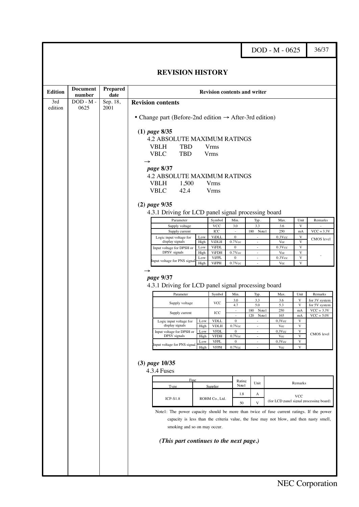DOD - M - 0625 36/37

36

#### **REVISION HISTORY**

<span id="page-35-0"></span>

| <b>Edition</b> | <b>Document</b><br>number | <b>Prepared</b><br>date |                                                                                                                        |                                                                                       |                              |                               | <b>Revision contents and writer</b> |                  |                              |                               |  |  |  |
|----------------|---------------------------|-------------------------|------------------------------------------------------------------------------------------------------------------------|---------------------------------------------------------------------------------------|------------------------------|-------------------------------|-------------------------------------|------------------|------------------------------|-------------------------------|--|--|--|
| 3rd<br>edition | $DOD - M -$<br>0625       | Sep. 18,<br>2001        | <b>Revision contents</b>                                                                                               |                                                                                       |                              |                               |                                     |                  |                              |                               |  |  |  |
|                |                           |                         | • Change part (Before-2nd edition $\rightarrow$ After-3rd edition)                                                     |                                                                                       |                              |                               |                                     |                  |                              |                               |  |  |  |
|                |                           |                         |                                                                                                                        |                                                                                       |                              |                               |                                     |                  |                              |                               |  |  |  |
|                |                           |                         | $(1)$ page 8/35                                                                                                        |                                                                                       |                              |                               |                                     |                  |                              |                               |  |  |  |
|                |                           |                         | <b>4.2 ABSOLUTE MAXIMUM RATINGS</b><br><b>TBD</b><br><b>VBLH</b>                                                       |                                                                                       | <b>Vrms</b>                  |                               |                                     |                  |                              |                               |  |  |  |
|                |                           |                         | <b>TBD</b><br><b>VBLC</b>                                                                                              |                                                                                       | <b>Vrms</b>                  |                               |                                     |                  |                              |                               |  |  |  |
|                |                           |                         |                                                                                                                        |                                                                                       |                              |                               |                                     |                  |                              |                               |  |  |  |
|                |                           |                         | page 8/37                                                                                                              |                                                                                       |                              |                               |                                     |                  |                              |                               |  |  |  |
|                |                           |                         | <b>4.2 ABSOLUTE MAXIMUM RATINGS</b>                                                                                    |                                                                                       |                              |                               |                                     |                  |                              |                               |  |  |  |
|                |                           |                         | <b>VBLH</b><br>1,500                                                                                                   |                                                                                       | <b>Vrms</b>                  |                               |                                     |                  |                              |                               |  |  |  |
|                |                           |                         | <b>VBLC</b><br>42.4                                                                                                    |                                                                                       | <b>Vrms</b>                  |                               |                                     |                  |                              |                               |  |  |  |
|                |                           |                         | $(2)$ page $9/35$                                                                                                      |                                                                                       |                              |                               |                                     |                  |                              |                               |  |  |  |
|                |                           |                         | 4.3.1 Driving for LCD panel signal processing board                                                                    |                                                                                       |                              |                               |                                     |                  |                              |                               |  |  |  |
|                |                           |                         |                                                                                                                        | Symbol<br>Min.<br>Typ.<br>Unit<br>Remarks<br>Parameter<br>Max.<br>3.3<br>$\mathbf{V}$ |                              |                               |                                     |                  |                              |                               |  |  |  |
|                |                           |                         | Supply voltage<br>Supply current                                                                                       |                                                                                       | VCC<br>ICC                   | 3.0<br>$\sim$                 | 180 Note1                           | 3.6<br>250       | mA                           | $VCC = 3.3V$                  |  |  |  |
|                |                           |                         | Logic input voltage for                                                                                                | Low                                                                                   | <b>ViDLL</b>                 | $\mathbf{0}$                  | $\sim$                              | $0.3$ Vcc        | $\mathbf{V}$                 | CMOS level                    |  |  |  |
|                |                           |                         | display signals<br>Input voltage for DPSH or                                                                           | High<br>Low                                                                           | <b>ViDLH</b><br><b>ViFDL</b> | $0.7$ Vcc<br>$\boldsymbol{0}$ | $\sim$<br>$\sim$                    | Vcc<br>$0.3$ Vcc | $\overline{\mathbf{V}}$<br>V |                               |  |  |  |
|                |                           |                         | DPSV signals                                                                                                           | High                                                                                  | <b>ViFDH</b>                 | $0.7$ Vcc                     | ÷.                                  | Vcc              | V                            |                               |  |  |  |
|                |                           |                         | Input voltage for PNS signal                                                                                           | Low<br>High                                                                           | <b>ViFPL</b><br><b>ViFPH</b> | $\boldsymbol{0}$<br>$0.7$ Vcc | $\overline{\phantom{a}}$            | $0.3$ Vcc<br>Vcc | $\mathbf V$<br>$\mathbf{V}$  |                               |  |  |  |
|                |                           |                         |                                                                                                                        |                                                                                       |                              |                               |                                     |                  |                              |                               |  |  |  |
|                |                           |                         | page 9/37                                                                                                              |                                                                                       |                              |                               |                                     |                  |                              |                               |  |  |  |
|                |                           |                         | 4.3.1 Driving for LCD panel signal processing board                                                                    |                                                                                       |                              |                               |                                     |                  |                              |                               |  |  |  |
|                |                           |                         | Parameter                                                                                                              |                                                                                       | Symbol                       | Min.                          | Typ.                                | Max.             | Unit                         | Remarks                       |  |  |  |
|                |                           |                         | Supply voltage                                                                                                         |                                                                                       | <b>VCC</b>                   | 3.0                           | 3.3                                 | 3.6              | V                            | for 3V system                 |  |  |  |
|                |                           |                         |                                                                                                                        |                                                                                       | ICC                          | 4.7<br>$\sim$                 | 5.0<br>180<br>Note1                 | 5.3<br>250       | V<br>mA                      | for 5V system<br>$VCC = 3.3V$ |  |  |  |
|                |                           |                         | Supply current                                                                                                         |                                                                                       |                              | $\sim$<br>$\mathbf{0}$        | 120 Note1                           | 165              | mA<br>V                      | $VCC = 5.0V$                  |  |  |  |
|                |                           |                         | Logic input voltage for<br>display signals                                                                             | Low<br>High                                                                           | <b>VDLL</b><br><b>VDLH</b>   | $0.7$ Vcc                     | ×.                                  | $0.3$ Vcc<br>Vcc | V                            |                               |  |  |  |
|                |                           |                         | Input voltage for DPSH or<br>DPSV signals                                                                              | Low<br>High                                                                           | <b>VFDL</b><br><b>VFDH</b>   | $\boldsymbol{0}$<br>$0.7$ Vcc | $\overline{a}$                      | $0.3$ Vcc<br>Vcc | $\mathbf V$<br>V             | CMOS level                    |  |  |  |
|                |                           |                         | Input voltage for PNS signal                                                                                           | Low                                                                                   | <b>VFPL</b>                  | $\mathbf{0}$                  |                                     | $0.3$ Vcc        | $\mathbf{V}$                 |                               |  |  |  |
|                |                           |                         |                                                                                                                        | High                                                                                  | <b>VFPH</b>                  | $0.7$ Vcc                     |                                     | Vcc              | $\mathbf{V}$                 |                               |  |  |  |
|                |                           |                         | $(3)$ page $10/35$                                                                                                     |                                                                                       |                              |                               |                                     |                  |                              |                               |  |  |  |
|                |                           |                         | <b>4.3.4 Fuses</b>                                                                                                     |                                                                                       |                              |                               |                                     |                  |                              |                               |  |  |  |
|                |                           |                         |                                                                                                                        |                                                                                       |                              |                               |                                     |                  |                              |                               |  |  |  |
|                |                           |                         | Type                                                                                                                   | Fuse                                                                                  | Supplier                     | Rating<br>Note1               | Unit                                |                  | Remarks                      |                               |  |  |  |
|                |                           |                         | $ICP-S1.8$                                                                                                             |                                                                                       | ROHM Co., Ltd.               | 1.8                           | А                                   |                  | <b>VCC</b>                   |                               |  |  |  |
|                |                           |                         | (for LCD panel signal processing board)<br>50<br>V                                                                     |                                                                                       |                              |                               |                                     |                  |                              |                               |  |  |  |
|                |                           |                         | Note 1: The power capacity should be more than twice of fuse current ratings. If the power                             |                                                                                       |                              |                               |                                     |                  |                              |                               |  |  |  |
|                |                           |                         | capacity is less than the criteria value, the fuse may not blow, and then nasty smell,<br>smoking and so on may occur. |                                                                                       |                              |                               |                                     |                  |                              |                               |  |  |  |
|                |                           |                         |                                                                                                                        |                                                                                       |                              |                               |                                     |                  |                              |                               |  |  |  |
|                |                           |                         | (This part continues to the next page.)                                                                                |                                                                                       |                              |                               |                                     |                  |                              |                               |  |  |  |
|                |                           |                         |                                                                                                                        |                                                                                       |                              |                               |                                     |                  |                              |                               |  |  |  |
|                |                           |                         |                                                                                                                        |                                                                                       |                              |                               |                                     |                  |                              |                               |  |  |  |
|                |                           |                         |                                                                                                                        |                                                                                       |                              |                               |                                     |                  |                              |                               |  |  |  |